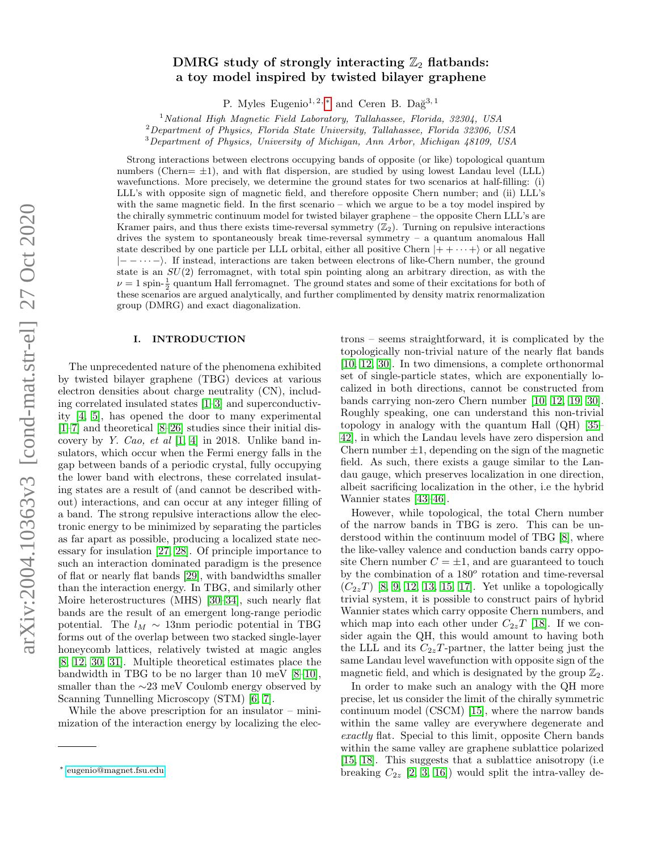# DMRG study of strongly interacting  $\mathbb{Z}_2$  flatbands: a toy model inspired by twisted bilayer graphene

P. Myles Eugenio<sup>1, 2, \*</sup> and Ceren B. Dağ<sup>3, 1</sup>

 $1$ National High Magnetic Field Laboratory, Tallahassee, Florida, 32304, USA

 ${}^{2}$ Department of Physics, Florida State University, Tallahassee, Florida 32306, USA

<sup>3</sup>Department of Physics, University of Michigan, Ann Arbor, Michigan 48109, USA

Strong interactions between electrons occupying bands of opposite (or like) topological quantum numbers (Chern $= \pm 1$ ), and with flat dispersion, are studied by using lowest Landau level (LLL) wavefunctions. More precisely, we determine the ground states for two scenarios at half-filling: (i) LLL's with opposite sign of magnetic field, and therefore opposite Chern number; and (ii) LLL's with the same magnetic field. In the first scenario – which we argue to be a toy model inspired by the chirally symmetric continuum model for twisted bilayer graphene – the opposite Chern LLL's are Kramer pairs, and thus there exists time-reversal symmetry  $(\mathbb{Z}_2)$ . Turning on repulsive interactions drives the system to spontaneously break time-reversal symmetry  $-$  a quantum anomalous Hall state described by one particle per LLL orbital, either all positive Chern  $|++\cdots+ \rangle$  or all negative |− − · · · −i. If instead, interactions are taken between electrons of like-Chern number, the ground state is an  $SU(2)$  ferromagnet, with total spin pointing along an arbitrary direction, as with the  $\nu = 1$  spin- $\frac{1}{2}$  quantum Hall ferromagnet. The ground states and some of their excitations for both of these scenarios are argued analytically, and further complimented by density matrix renormalization group (DMRG) and exact diagonalization.

### I. INTRODUCTION

The unprecedented nature of the phenomena exhibited by twisted bilayer graphene (TBG) devices at various electron densities about charge neutrality (CN), including correlated insulated states [\[1–](#page-10-0)[3\]](#page-10-1) and superconductivity [\[4,](#page-10-2) [5\]](#page-10-3), has opened the door to many experimental [\[1–](#page-10-0)[7\]](#page-10-4) and theoretical [\[8](#page-10-5)[–26\]](#page-10-6) studies since their initial discovery by Y. Cao, et al  $[1, 4]$  $[1, 4]$  in 2018. Unlike band insulators, which occur when the Fermi energy falls in the gap between bands of a periodic crystal, fully occupying the lower band with electrons, these correlated insulating states are a result of (and cannot be described without) interactions, and can occur at any integer filling of a band. The strong repulsive interactions allow the electronic energy to be minimized by separating the particles as far apart as possible, producing a localized state necessary for insulation [\[27,](#page-10-7) [28\]](#page-10-8). Of principle importance to such an interaction dominated paradigm is the presence of flat or nearly flat bands [\[29\]](#page-10-9), with bandwidths smaller than the interaction energy. In TBG, and similarly other Moire heterostructures (MHS) [\[30–](#page-10-10)[34\]](#page-10-11), such nearly flat bands are the result of an emergent long-range periodic potential. The  $l_M \sim 13$ nm periodic potential in TBG forms out of the overlap between two stacked single-layer honeycomb lattices, relatively twisted at magic angles [\[8,](#page-10-5) [12,](#page-10-12) [30,](#page-10-10) [31\]](#page-10-13). Multiple theoretical estimates place the bandwidth in TBG to be no larger than 10 meV [\[8–](#page-10-5)[10\]](#page-10-14), smaller than the ∼23 meV Coulomb energy observed by Scanning Tunnelling Microscopy (STM) [\[6,](#page-10-15) [7\]](#page-10-4).

While the above prescription for an insulator – minimization of the interaction energy by localizing the elec-

trons – seems straightforward, it is complicated by the topologically non-trivial nature of the nearly flat bands [\[10,](#page-10-14) [12,](#page-10-12) [30\]](#page-10-10). In two dimensions, a complete orthonormal set of single-particle states, which are exponentially localized in both directions, cannot be constructed from bands carrying non-zero Chern number [\[10,](#page-10-14) [12,](#page-10-12) [19,](#page-10-16) [30\]](#page-10-10). Roughly speaking, one can understand this non-trivial topology in analogy with the quantum Hall (QH) [\[35–](#page-10-17) [42\]](#page-10-18), in which the Landau levels have zero dispersion and Chern number  $\pm 1$ , depending on the sign of the magnetic field. As such, there exists a gauge similar to the Landau gauge, which preserves localization in one direction, albeit sacrificing localization in the other, i.e the hybrid Wannier states [\[43–](#page-10-19)[46\]](#page-10-20).

However, while topological, the total Chern number of the narrow bands in TBG is zero. This can be understood within the continuum model of TBG [\[8\]](#page-10-5), where the like-valley valence and conduction bands carry opposite Chern number  $C = \pm 1$ , and are guaranteed to touch by the combination of a  $180^o$  rotation and time-reversal  $(C_{2z}T)$  [\[8,](#page-10-5) [9,](#page-10-21) [12,](#page-10-12) [13,](#page-10-22) [15,](#page-10-23) [17\]](#page-10-24). Yet unlike a topologically trivial system, it is possible to construct pairs of hybrid Wannier states which carry opposite Chern numbers, and which map into each other under  $C_{2z}T$  [\[18\]](#page-10-25). If we consider again the QH, this would amount to having both the LLL and its  $C_{2z}T$ -partner, the latter being just the same Landau level wavefunction with opposite sign of the magnetic field, and which is designated by the group  $\mathbb{Z}_2$ .

In order to make such an analogy with the QH more precise, let us consider the limit of the chirally symmetric continuum model (CSCM) [\[15\]](#page-10-23), where the narrow bands within the same valley are everywhere degenerate and exactly flat. Special to this limit, opposite Chern bands within the same valley are graphene sublattice polarized [\[15,](#page-10-23) [18\]](#page-10-25). This suggests that a sublattice anisotropy (i.e breaking  $C_{2z}$  [\[2,](#page-10-26) [3,](#page-10-1) [16\]](#page-10-27)) would split the intra-valley de-

<span id="page-0-0"></span><sup>∗</sup> [eugenio@magnet.fsu.edu](mailto:eugenio@magnet.fsu.edu)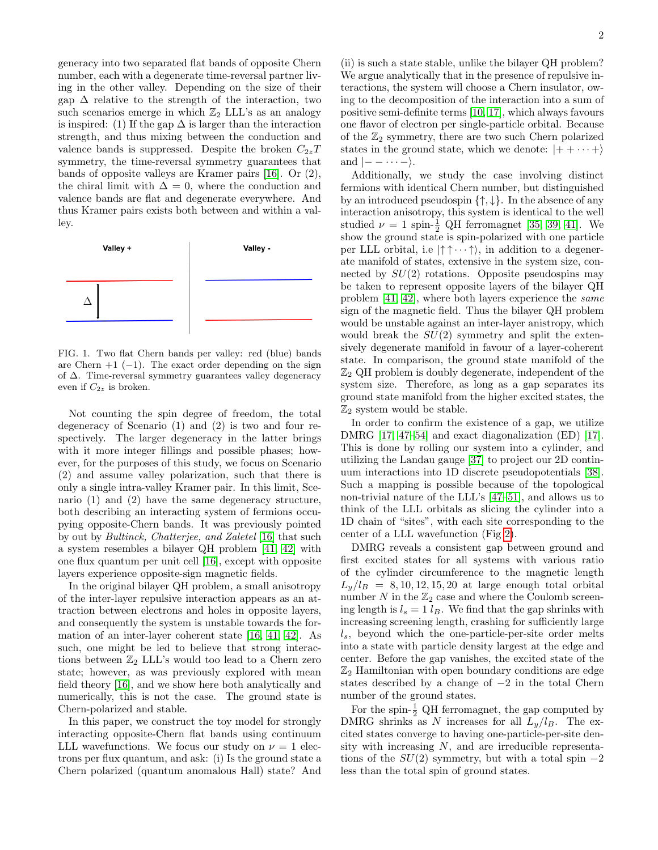generacy into two separated flat bands of opposite Chern number, each with a degenerate time-reversal partner living in the other valley. Depending on the size of their gap  $\Delta$  relative to the strength of the interaction, two such scenarios emerge in which  $\mathbb{Z}_2$  LLL's as an analogy is inspired: (1) If the gap  $\Delta$  is larger than the interaction strength, and thus mixing between the conduction and valence bands is suppressed. Despite the broken  $C_{2z}T$ symmetry, the time-reversal symmetry guarantees that bands of opposite valleys are Kramer pairs [\[16\]](#page-10-27). Or (2), the chiral limit with  $\Delta = 0$ , where the conduction and valence bands are flat and degenerate everywhere. And thus Kramer pairs exists both between and within a valley.



FIG. 1. Two flat Chern bands per valley: red (blue) bands are Chern  $+1$  (-1). The exact order depending on the sign of ∆. Time-reversal symmetry guarantees valley degeneracy even if  $C_{2z}$  is broken.

Not counting the spin degree of freedom, the total degeneracy of Scenario (1) and (2) is two and four respectively. The larger degeneracy in the latter brings with it more integer fillings and possible phases; however, for the purposes of this study, we focus on Scenario (2) and assume valley polarization, such that there is only a single intra-valley Kramer pair. In this limit, Scenario (1) and (2) have the same degeneracy structure, both describing an interacting system of fermions occupying opposite-Chern bands. It was previously pointed by out by Bultinck, Chatterjee, and Zaletel [\[16\]](#page-10-27) that such a system resembles a bilayer QH problem [\[41,](#page-10-28) [42\]](#page-10-18) with one flux quantum per unit cell [\[16\]](#page-10-27), except with opposite layers experience opposite-sign magnetic fields.

In the original bilayer QH problem, a small anisotropy of the inter-layer repulsive interaction appears as an attraction between electrons and holes in opposite layers, and consequently the system is unstable towards the formation of an inter-layer coherent state [\[16,](#page-10-27) [41,](#page-10-28) [42\]](#page-10-18). As such, one might be led to believe that strong interactions between  $\mathbb{Z}_2$  LLL's would too lead to a Chern zero state; however, as was previously explored with mean field theory [\[16\]](#page-10-27), and we show here both analytically and numerically, this is not the case. The ground state is Chern-polarized and stable.

In this paper, we construct the toy model for strongly interacting opposite-Chern flat bands using continuum LLL wavefunctions. We focus our study on  $\nu = 1$  electrons per flux quantum, and ask: (i) Is the ground state a Chern polarized (quantum anomalous Hall) state? And

(ii) is such a state stable, unlike the bilayer QH problem? We argue analytically that in the presence of repulsive interactions, the system will choose a Chern insulator, owing to the decomposition of the interaction into a sum of positive semi-definite terms [\[10,](#page-10-14) [17\]](#page-10-24), which always favours one flavor of electron per single-particle orbital. Because of the  $\mathbb{Z}_2$  symmetry, there are two such Chern polarized states in the ground state, which we denote:  $|++\cdots+\rangle$ and  $|-\cdots-\rangle$ .

Additionally, we study the case involving distinct fermions with identical Chern number, but distinguished by an introduced pseudospin  $\{\uparrow,\downarrow\}$ . In the absence of any interaction anisotropy, this system is identical to the well studied  $\nu = 1$  spin- $\frac{1}{2}$  QH ferromagnet [\[35,](#page-10-17) [39,](#page-10-29) [41\]](#page-10-28). We show the ground state is spin-polarized with one particle per LLL orbital, i.e  $|\uparrow \uparrow \cdots \uparrow \rangle$ , in addition to a degenerate manifold of states, extensive in the system size, connected by  $SU(2)$  rotations. Opposite pseudospins may be taken to represent opposite layers of the bilayer QH problem [\[41,](#page-10-28) [42\]](#page-10-18), where both layers experience the same sign of the magnetic field. Thus the bilayer QH problem would be unstable against an inter-layer anistropy, which would break the  $SU(2)$  symmetry and split the extensively degenerate manifold in favour of a layer-coherent state. In comparison, the ground state manifold of the  $\mathbb{Z}_2$  QH problem is doubly degenerate, independent of the system size. Therefore, as long as a gap separates its ground state manifold from the higher excited states, the  $\mathbb{Z}_2$  system would be stable.

In order to confirm the existence of a gap, we utilize DMRG [\[17,](#page-10-24) [47](#page-10-30)[–54\]](#page-10-31) and exact diagonalization (ED) [\[17\]](#page-10-24). This is done by rolling our system into a cylinder, and utilizing the Landau gauge [\[37\]](#page-10-32) to project our 2D continuum interactions into 1D discrete pseudopotentials [\[38\]](#page-10-33). Such a mapping is possible because of the topological non-trivial nature of the LLL's [\[47–](#page-10-30)[51\]](#page-10-34), and allows us to think of the LLL orbitals as slicing the cylinder into a 1D chain of "sites", with each site corresponding to the center of a LLL wavefunction (Fig [2\)](#page-4-0).

DMRG reveals a consistent gap between ground and first excited states for all systems with various ratio of the cylinder circumference to the magnetic length  $L_y/l_B = 8, 10, 12, 15, 20$  at large enough total orbital number N in the  $\mathbb{Z}_2$  case and where the Coulomb screening length is  $l_s = 1 l_B$ . We find that the gap shrinks with increasing screening length, crashing for sufficiently large  $l<sub>s</sub>$ , beyond which the one-particle-per-site order melts into a state with particle density largest at the edge and center. Before the gap vanishes, the excited state of the  $\mathbb{Z}_2$  Hamiltonian with open boundary conditions are edge states described by a change of −2 in the total Chern number of the ground states.

For the spin- $\frac{1}{2}$  QH ferromagnet, the gap computed by DMRG shrinks as N increases for all  $L_y/l_B$ . The excited states converge to having one-particle-per-site density with increasing  $N$ , and are irreducible representations of the  $SU(2)$  symmetry, but with a total spin  $-2$ less than the total spin of ground states.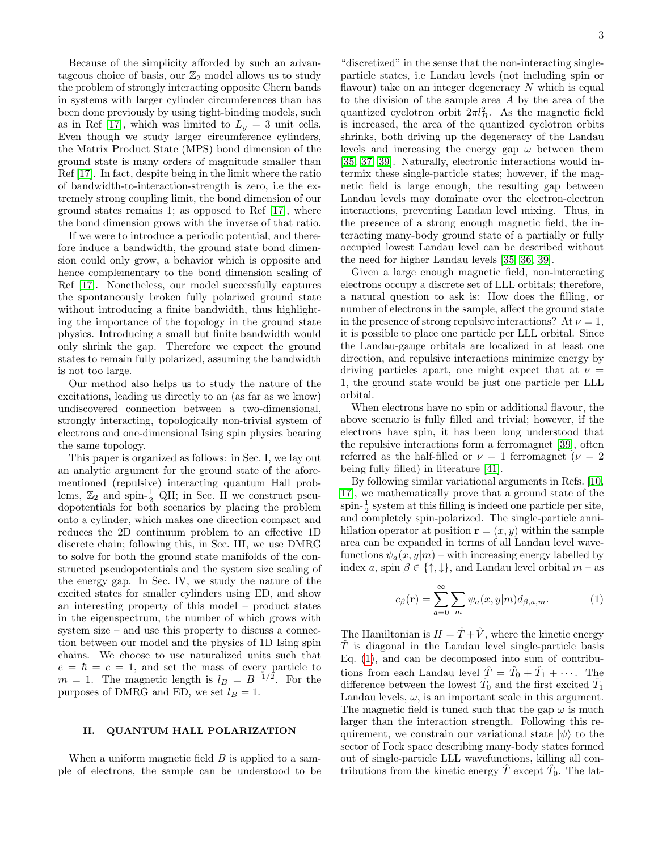Because of the simplicity afforded by such an advantageous choice of basis, our  $\mathbb{Z}_2$  model allows us to study the problem of strongly interacting opposite Chern bands in systems with larger cylinder circumferences than has been done previously by using tight-binding models, such as in Ref [\[17\]](#page-10-24), which was limited to  $L_y = 3$  unit cells. Even though we study larger circumference cylinders, the Matrix Product State (MPS) bond dimension of the ground state is many orders of magnitude smaller than Ref [\[17\]](#page-10-24). In fact, despite being in the limit where the ratio of bandwidth-to-interaction-strength is zero, i.e the extremely strong coupling limit, the bond dimension of our ground states remains 1; as opposed to Ref [\[17\]](#page-10-24), where the bond dimension grows with the inverse of that ratio.

If we were to introduce a periodic potential, and therefore induce a bandwidth, the ground state bond dimension could only grow, a behavior which is opposite and hence complementary to the bond dimension scaling of Ref [\[17\]](#page-10-24). Nonetheless, our model successfully captures the spontaneously broken fully polarized ground state without introducing a finite bandwidth, thus highlighting the importance of the topology in the ground state physics. Introducing a small but finite bandwidth would only shrink the gap. Therefore we expect the ground states to remain fully polarized, assuming the bandwidth is not too large.

Our method also helps us to study the nature of the excitations, leading us directly to an (as far as we know) undiscovered connection between a two-dimensional, strongly interacting, topologically non-trivial system of electrons and one-dimensional Ising spin physics bearing the same topology.

This paper is organized as follows: in Sec. I, we lay out an analytic argument for the ground state of the aforementioned (repulsive) interacting quantum Hall problems,  $\mathbb{Z}_2$  and spin- $\frac{1}{2}$  QH; in Sec. II we construct pseudopotentials for both scenarios by placing the problem onto a cylinder, which makes one direction compact and reduces the 2D continuum problem to an effective 1D discrete chain; following this, in Sec. III, we use DMRG to solve for both the ground state manifolds of the constructed pseudopotentials and the system size scaling of the energy gap. In Sec. IV, we study the nature of the excited states for smaller cylinders using ED, and show an interesting property of this model – product states in the eigenspectrum, the number of which grows with system size – and use this property to discuss a connection between our model and the physics of 1D Ising spin chains. We choose to use naturalized units such that  $e = \hbar = c = 1$ , and set the mass of every particle to  $m = 1$ . The magnetic length is  $l_B = B^{-1/2}$ . For the purposes of DMRG and ED, we set  $l_B = 1$ .

## <span id="page-2-1"></span>II. QUANTUM HALL POLARIZATION

When a uniform magnetic field  $B$  is applied to a sample of electrons, the sample can be understood to be

"discretized" in the sense that the non-interacting singleparticle states, i.e Landau levels (not including spin or flavour) take on an integer degeneracy  $N$  which is equal to the division of the sample area A by the area of the quantized cyclotron orbit  $2\pi l_B^2$ . As the magnetic field is increased, the area of the quantized cyclotron orbits shrinks, both driving up the degeneracy of the Landau levels and increasing the energy gap  $\omega$  between them [\[35,](#page-10-17) [37,](#page-10-32) [39\]](#page-10-29). Naturally, electronic interactions would intermix these single-particle states; however, if the magnetic field is large enough, the resulting gap between Landau levels may dominate over the electron-electron interactions, preventing Landau level mixing. Thus, in the presence of a strong enough magnetic field, the interacting many-body ground state of a partially or fully occupied lowest Landau level can be described without the need for higher Landau levels [\[35,](#page-10-17) [36,](#page-10-35) [39\]](#page-10-29).

Given a large enough magnetic field, non-interacting electrons occupy a discrete set of LLL orbitals; therefore, a natural question to ask is: How does the filling, or number of electrons in the sample, affect the ground state in the presence of strong repulsive interactions? At  $\nu = 1$ , it is possible to place one particle per LLL orbital. Since the Landau-gauge orbitals are localized in at least one direction, and repulsive interactions minimize energy by driving particles apart, one might expect that at  $\nu =$ 1, the ground state would be just one particle per LLL orbital.

When electrons have no spin or additional flavour, the above scenario is fully filled and trivial; however, if the electrons have spin, it has been long understood that the repulsive interactions form a ferromagnet [\[39\]](#page-10-29), often referred as the half-filled or  $\nu = 1$  ferromagnet ( $\nu = 2$ being fully filled) in literature [\[41\]](#page-10-28).

By following similar variational arguments in Refs. [\[10,](#page-10-14) [17\]](#page-10-24), we mathematically prove that a ground state of the spin- $\frac{1}{2}$  system at this filling is indeed one particle per site, and completely spin-polarized. The single-particle annihilation operator at position  $\mathbf{r} = (x, y)$  within the sample area can be expanded in terms of all Landau level wavefunctions  $\psi_a(x, y|m)$  – with increasing energy labelled by index a, spin  $\beta \in \{\uparrow, \downarrow\}$ , and Landau level orbital  $m -$ as

<span id="page-2-0"></span>
$$
c_{\beta}(\mathbf{r}) = \sum_{a=0}^{\infty} \sum_{m} \psi_a(x, y|m) d_{\beta, a, m}.
$$
 (1)

The Hamiltonian is  $H = \hat{T} + \hat{V}$ , where the kinetic energy  $\hat{T}$  is diagonal in the Landau level single-particle basis Eq. [\(1\)](#page-2-0), and can be decomposed into sum of contributions from each Landau level  $\hat{T} = \hat{T}_0 + \hat{T}_1 + \cdots$ . The difference between the lowest  $\hat{T}_0$  and the first excited  $\hat{T}_1$ Landau levels,  $\omega$ , is an important scale in this argument. The magnetic field is tuned such that the gap  $\omega$  is much larger than the interaction strength. Following this requirement, we constrain our variational state  $|\psi\rangle$  to the sector of Fock space describing many-body states formed out of single-particle LLL wavefunctions, killing all contributions from the kinetic energy  $\hat{T}$  except  $\hat{T}_0$ . The lat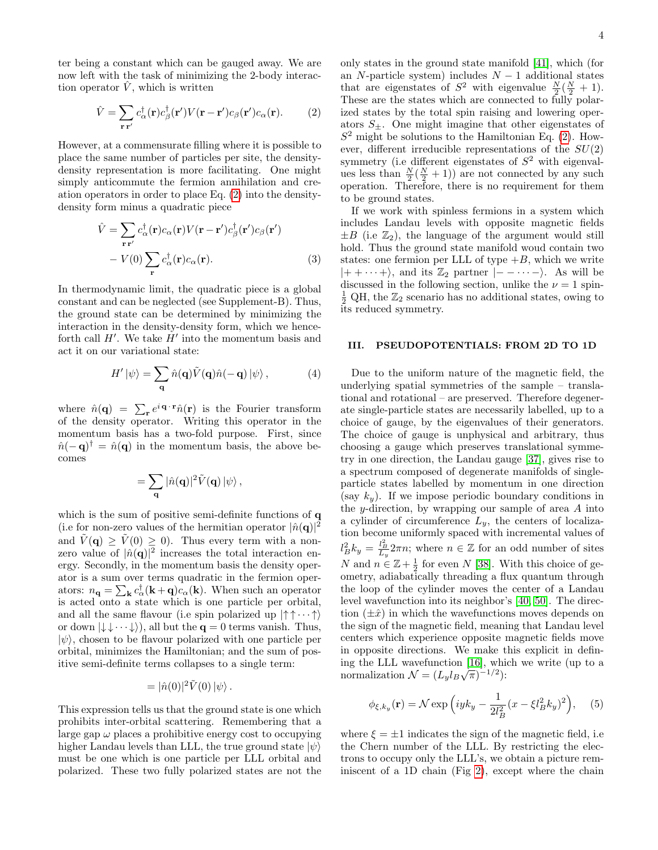ter being a constant which can be gauged away. We are now left with the task of minimizing the 2-body interaction operator  $\hat{V}$ , which is written

<span id="page-3-0"></span>
$$
\hat{V} = \sum_{\mathbf{r}\mathbf{r}'} c_{\alpha}^{\dagger}(\mathbf{r}) c_{\beta}^{\dagger}(\mathbf{r}') V(\mathbf{r} - \mathbf{r}') c_{\beta}(\mathbf{r}') c_{\alpha}(\mathbf{r}). \tag{2}
$$

However, at a commensurate filling where it is possible to place the same number of particles per site, the densitydensity representation is more facilitating. One might simply anticommute the fermion annihilation and creation operators in order to place Eq. [\(2\)](#page-3-0) into the densitydensity form minus a quadratic piece

<span id="page-3-3"></span>
$$
\hat{V} = \sum_{\mathbf{r}\mathbf{r}'} c_{\alpha}^{\dagger}(\mathbf{r})c_{\alpha}(\mathbf{r})V(\mathbf{r}-\mathbf{r}')c_{\beta}^{\dagger}(\mathbf{r}')c_{\beta}(\mathbf{r}')
$$

$$
-V(0)\sum_{\mathbf{r}} c_{\alpha}^{\dagger}(\mathbf{r})c_{\alpha}(\mathbf{r}).
$$
(3)

In thermodynamic limit, the quadratic piece is a global constant and can be neglected (see Supplement-B). Thus, the ground state can be determined by minimizing the interaction in the density-density form, which we henceforth call  $H'$ . We take  $H'$  into the momentum basis and act it on our variational state:

$$
H' \left| \psi \right\rangle = \sum_{\mathbf{q}} \hat{n}(\mathbf{q}) \tilde{V}(\mathbf{q}) \hat{n}(-\mathbf{q}) \left| \psi \right\rangle, \tag{4}
$$

where  $\hat{n}(\mathbf{q}) = \sum_{\mathbf{r}} e^{i \mathbf{q} \cdot \mathbf{r}} \hat{n}(\mathbf{r})$  is the Fourier transform of the density operator. Writing this operator in the momentum basis has a two-fold purpose. First, since  $\hat{n}(-\mathbf{q})^{\dagger} = \hat{n}(\mathbf{q})$  in the momentum basis, the above becomes

$$
= \sum_{\mathbf{q}} |\hat{n}(\mathbf{q})|^2 \tilde{V}(\mathbf{q}) \, |\psi\rangle \, ,
$$

which is the sum of positive semi-definite functions of **q** (i.e for non-zero values of the hermitian operator  $|\hat{n}(\mathbf{q})|^2$ and  $\tilde{V}(\mathbf{q}) > \tilde{V}(0) > 0$ . Thus every term with a nonzero value of  $|\hat{n}(\mathbf{q})|^2$  increases the total interaction energy. Secondly, in the momentum basis the density operator is a sum over terms quadratic in the fermion operators:  $n_{\mathbf{q}} = \sum_{\mathbf{k}} c_{\alpha}^{\dagger}(\mathbf{k} + \mathbf{q})c_{\alpha}(\mathbf{k})$ . When such an operator is acted onto a state which is one particle per orbital, and all the same flavour (i.e spin polarized up  $|\uparrow \uparrow \cdots \uparrow \rangle$ or down  $|\downarrow \downarrow \cdots \downarrow \rangle$ , all but the  $q = 0$  terms vanish. Thus,  $|\psi\rangle$ , chosen to be flavour polarized with one particle per orbital, minimizes the Hamiltonian; and the sum of positive semi-definite terms collapses to a single term:

$$
= |\hat{n}(0)|^2 \tilde{V}(0) |\psi\rangle.
$$

This expression tells us that the ground state is one which prohibits inter-orbital scattering. Remembering that a large gap  $\omega$  places a prohibitive energy cost to occupying higher Landau levels than LLL, the true ground state  $|\psi\rangle$ must be one which is one particle per LLL orbital and polarized. These two fully polarized states are not the

only states in the ground state manifold [\[41\]](#page-10-28), which (for an N-particle system) includes  $N-1$  additional states that are eigenstates of  $S^2$  with eigenvalue  $\frac{N}{2}(\frac{N}{2}+1)$ . These are the states which are connected to fully polarized states by the total spin raising and lowering operators  $S_{\pm}$ . One might imagine that other eigenstates of  $S<sup>2</sup>$  might be solutions to the Hamiltonian Eq. [\(2\)](#page-3-0). However, different irreducible representations of the  $SU(2)$ symmetry (i.e different eigenstates of  $S<sup>2</sup>$  with eigenvalues less than  $\frac{N}{2}(\frac{N}{2}+1)$  are not connected by any such operation. Therefore, there is no requirement for them to be ground states.

If we work with spinless fermions in a system which includes Landau levels with opposite magnetic fields  $\pm B$  (i.e  $\mathbb{Z}_2$ ), the language of the argument would still hold. Thus the ground state manifold woud contain two states: one fermion per LLL of type  $+B$ , which we write  $|++\cdots+\rangle$ , and its  $\mathbb{Z}_2$  partner  $|--\cdots-\rangle$ . As will be discussed in the following section, unlike the  $\nu = 1$  spin- $\frac{1}{2}$  QH, the  $\mathbb{Z}_2$  scenario has no additional states, owing to its reduced symmetry.

#### <span id="page-3-2"></span>III. PSEUDOPOTENTIALS: FROM 2D TO 1D

Due to the uniform nature of the magnetic field, the underlying spatial symmetries of the sample – translational and rotational – are preserved. Therefore degenerate single-particle states are necessarily labelled, up to a choice of gauge, by the eigenvalues of their generators. The choice of gauge is unphysical and arbitrary, thus choosing a gauge which preserves translational symmetry in one direction, the Landau gauge [\[37\]](#page-10-32), gives rise to a spectrum composed of degenerate manifolds of singleparticle states labelled by momentum in one direction (say  $k_y$ ). If we impose periodic boundary conditions in the y-direction, by wrapping our sample of area  $A$  into a cylinder of circumference  $L_y$ , the centers of localization become uniformly spaced with incremental values of  $l_B^2 k_y = \frac{l_B^2}{L_y} 2\pi n$ ; where  $n \in \mathbb{Z}$  for an odd number of sites N and  $n \in \mathbb{Z} + \frac{1}{2}$  for even N [\[38\]](#page-10-33). With this choice of geometry, adiabatically threading a flux quantum through the loop of the cylinder moves the center of a Landau level wavefunction into its neighbor's [\[40,](#page-10-36) [50\]](#page-10-37). The direction  $(\pm \hat{x})$  in which the wavefunctions moves depends on the sign of the magnetic field, meaning that Landau level centers which experience opposite magnetic fields move in opposite directions. We make this explicit in defin-ing the LLL wavefunction [\[16\]](#page-10-27), which we write (up to a normalization  $\mathcal{N} = (L_y l_B \sqrt{\pi})^{-1/2}$ :

<span id="page-3-1"></span>
$$
\phi_{\xi,k_y}(\mathbf{r}) = \mathcal{N} \exp\left(iyk_y - \frac{1}{2l_B^2}(x - \xi l_B^2 k_y)^2\right), \quad (5)
$$

where  $\xi = \pm 1$  indicates the sign of the magnetic field, i.e. the Chern number of the LLL. By restricting the electrons to occupy only the LLL's, we obtain a picture reminiscent of a 1D chain (Fig [2\)](#page-4-0), except where the chain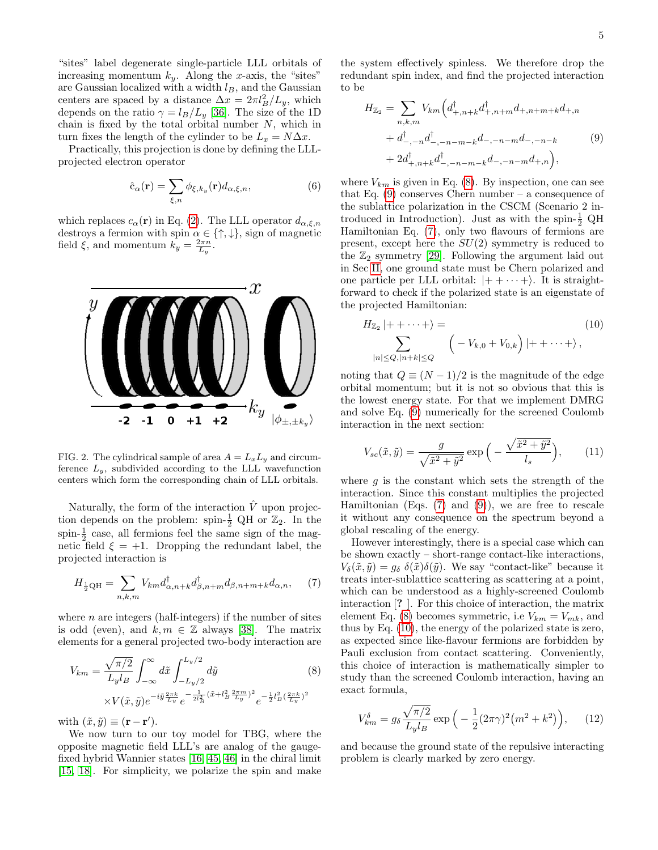"sites" label degenerate single-particle LLL orbitals of increasing momentum  $k_y$ . Along the x-axis, the "sites" are Gaussian localized with a width  $l_B$ , and the Gaussian centers are spaced by a distance  $\Delta x = 2\pi l_B^2/L_y$ , which depends on the ratio  $\gamma = l_B/L_y$  [\[36\]](#page-10-35). The size of the 1D chain is fixed by the total orbital number  $N$ , which in turn fixes the length of the cylinder to be  $L_x = N\Delta x$ .

Practically, this projection is done by defining the LLLprojected electron operator

$$
\hat{c}_{\alpha}(\mathbf{r}) = \sum_{\xi,n} \phi_{\xi,k_y}(\mathbf{r}) d_{\alpha,\xi,n},\tag{6}
$$

which replaces  $c_{\alpha}(\mathbf{r})$  in Eq. [\(2\)](#page-3-0). The LLL operator  $d_{\alpha,\xi,n}$ destroys a fermion with spin  $\alpha \in \{\uparrow, \downarrow\}$ , sign of magnetic field  $\xi$ , and momentum  $k_y = \frac{2\pi n}{L_y}$ .



<span id="page-4-0"></span>FIG. 2. The cylindrical sample of area  $A = L_x L_y$  and circumference  $L_y$ , subdivided according to the LLL wavefunction centers which form the corresponding chain of LLL orbitals.

Naturally, the form of the interaction  $\hat{V}$  upon projection depends on the problem: spin- $\frac{1}{2}$  QH or  $\mathbb{Z}_2$ . In the spin- $\frac{1}{2}$  case, all fermions feel the same sign of the magnetic field  $\xi = +1$ . Dropping the redundant label, the projected interaction is

<span id="page-4-3"></span>
$$
H_{\frac{1}{2}\text{QH}} = \sum_{n,k,m} V_{km} d_{\alpha,n+k}^{\dagger} d_{\beta,n+m}^{\dagger} d_{\beta,n+m+k} d_{\alpha,n}, \quad (7)
$$

where  $n$  are integers (half-integers) if the number of sites is odd (even), and  $k, m \in \mathbb{Z}$  always [\[38\]](#page-10-33). The matrix elements for a general projected two-body interaction are

<span id="page-4-1"></span>
$$
V_{km} = \frac{\sqrt{\pi/2}}{L_y l_B} \int_{-\infty}^{\infty} d\tilde{x} \int_{-L_y/2}^{L_y/2} d\tilde{y}
$$
(8)  
 
$$
\times V(\tilde{x}, \tilde{y}) e^{-i\tilde{y} \frac{2\pi k}{L_y}} e^{-\frac{1}{2l_B^2} (\tilde{x} + l_B^2 \frac{2\pi m}{L_y})^2} e^{-\frac{1}{2}l_B^2 (\frac{2\pi k}{L_y})^2}
$$

with  $(\tilde{x}, \tilde{y}) \equiv (\mathbf{r} - \mathbf{r}').$ 

We now turn to our toy model for TBG, where the opposite magnetic field LLL's are analog of the gaugefixed hybrid Wannier states [\[16,](#page-10-27) [45,](#page-10-38) [46\]](#page-10-20) in the chiral limit [\[15,](#page-10-23) [18\]](#page-10-25). For simplicity, we polarize the spin and make the system effectively spinless. We therefore drop the redundant spin index, and find the projected interaction to be

<span id="page-4-2"></span>
$$
H_{\mathbb{Z}_2} = \sum_{n,k,m} V_{km} \left( d_{+,n+k}^{\dagger} d_{+,n+m}^{\dagger} d_{+,n+m+k} d_{+,n} + d_{-,n}^{\dagger} d_{-,n-m-k} d_{-,-n-m} d_{-,-n-k} + d_{-,n+m}^{\dagger} d_{-,n-m-k} d_{-,n-m} d_{+,n} \right),
$$
\n
$$
(9)
$$

where  $V_{km}$  is given in Eq. [\(8\)](#page-4-1). By inspection, one can see that Eq. [\(9\)](#page-4-2) conserves Chern number – a consequence of the sublattice polarization in the CSCM (Scenario 2 introduced in Introduction). Just as with the spin- $\frac{1}{2}$  QH Hamiltonian Eq. [\(7\)](#page-4-3), only two flavours of fermions are present, except here the  $SU(2)$  symmetry is reduced to the  $\mathbb{Z}_2$  symmetry [\[29\]](#page-10-9). Following the argument laid out in Sec [II,](#page-2-1) one ground state must be Chern polarized and one particle per LLL orbital:  $|++\cdots+\rangle$ . It is straightforward to check if the polarized state is an eigenstate of the projected Hamiltonian:

<span id="page-4-4"></span>
$$
H_{\mathbb{Z}_2} |++\cdots+ \rangle =
$$
\n
$$
\sum_{|n| \leq Q, |n+k| \leq Q} \left( -V_{k,0} + V_{0,k} \right) |++\cdots+ \rangle,
$$
\n(10)

noting that  $Q \equiv (N-1)/2$  is the magnitude of the edge orbital momentum; but it is not so obvious that this is the lowest energy state. For that we implement DMRG and solve Eq. [\(9\)](#page-4-2) numerically for the screened Coulomb interaction in the next section:

$$
V_{sc}(\tilde{x}, \tilde{y}) = \frac{g}{\sqrt{\tilde{x}^2 + \tilde{y}^2}} \exp\left(-\frac{\sqrt{\tilde{x}^2 + \tilde{y}^2}}{l_s}\right),\qquad(11)
$$

where  $g$  is the constant which sets the strength of the interaction. Since this constant multiplies the projected Hamiltonian (Eqs.  $(7)$  and  $(9)$ ), we are free to rescale it without any consequence on the spectrum beyond a global rescaling of the energy.

However interestingly, there is a special case which can be shown exactly – short-range contact-like interactions,  $V_{\delta}(\tilde{x}, \tilde{y}) = g_{\delta} \delta(\tilde{x}) \delta(\tilde{y})$ . We say "contact-like" because it treats inter-sublattice scattering as scattering at a point, which can be understood as a highly-screened Coulomb interaction [? ]. For this choice of interaction, the matrix element Eq. [\(8\)](#page-4-1) becomes symmetric, i.e  $V_{km} = V_{mk}$ , and thus by Eq. [\(10\)](#page-4-4), the energy of the polarized state is zero, as expected since like-flavour fermions are forbidden by Pauli exclusion from contact scattering. Conveniently, this choice of interaction is mathematically simpler to study than the screened Coulomb interaction, having an exact formula,

<span id="page-4-5"></span>
$$
V_{km}^{\delta} = g_{\delta} \frac{\sqrt{\pi/2}}{L_y l_B} \exp\left(-\frac{1}{2} (2\pi\gamma)^2 (m^2 + k^2)\right), \quad (12)
$$

and because the ground state of the repulsive interacting problem is clearly marked by zero energy.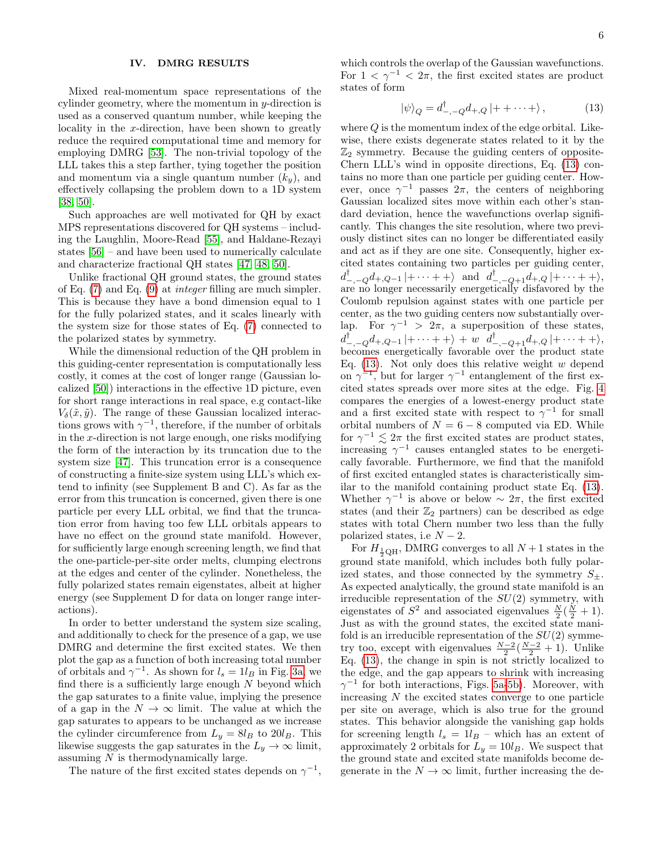# IV. DMRG RESULTS

Mixed real-momentum space representations of the cylinder geometry, where the momentum in y-direction is used as a conserved quantum number, while keeping the locality in the x-direction, have been shown to greatly reduce the required computational time and memory for employing DMRG [\[53\]](#page-10-39). The non-trivial topology of the LLL takes this a step farther, tying together the position and momentum via a single quantum number  $(k_y)$ , and effectively collapsing the problem down to a 1D system [\[38,](#page-10-33) [50\]](#page-10-37).

Such approaches are well motivated for QH by exact MPS representations discovered for QH systems – including the Laughlin, Moore-Read [\[55\]](#page-10-40), and Haldane-Rezayi states [\[56\]](#page-10-41) – and have been used to numerically calculate and characterize fractional QH states [\[47,](#page-10-30) [48,](#page-10-42) [50\]](#page-10-37).

Unlike fractional QH ground states, the ground states of Eq. [\(7\)](#page-4-3) and Eq. [\(9\)](#page-4-2) at integer filling are much simpler. This is because they have a bond dimension equal to 1 for the fully polarized states, and it scales linearly with the system size for those states of Eq. [\(7\)](#page-4-3) connected to the polarized states by symmetry.

While the dimensional reduction of the QH problem in this guiding-center representation is computationally less costly, it comes at the cost of longer range (Gaussian localized [\[50\]](#page-10-37)) interactions in the effective 1D picture, even for short range interactions in real space, e.g contact-like  $V_{\delta}(\tilde{x}, \tilde{y})$ . The range of these Gaussian localized interactions grows with  $\gamma^{-1}$ , therefore, if the number of orbitals in the x-direction is not large enough, one risks modifying the form of the interaction by its truncation due to the system size [\[47\]](#page-10-30). This truncation error is a consequence of constructing a finite-size system using LLL's which extend to infinity (see Supplement B and C). As far as the error from this truncation is concerned, given there is one particle per every LLL orbital, we find that the truncation error from having too few LLL orbitals appears to have no effect on the ground state manifold. However, for sufficiently large enough screening length, we find that the one-particle-per-site order melts, clumping electrons at the edges and center of the cylinder. Nonetheless, the fully polarized states remain eigenstates, albeit at higher energy (see Supplement D for data on longer range interactions).

In order to better understand the system size scaling, and additionally to check for the presence of a gap, we use DMRG and determine the first excited states. We then plot the gap as a function of both increasing total number of orbitals and  $\gamma^{-1}$ . As shown for  $l_s = 1l_B$  in Fig. [3a,](#page-6-0) we find there is a sufficiently large enough  $N$  beyond which the gap saturates to a finite value, implying the presence of a gap in the  $N \to \infty$  limit. The value at which the gap saturates to appears to be unchanged as we increase the cylinder circumference from  $L_y = 8l_B$  to  $20l_B$ . This likewise suggests the gap saturates in the  $L_y \to \infty$  limit, assuming N is thermodynamically large.

The nature of the first excited states depends on  $\gamma^{-1}$ ,

which controls the overlap of the Gaussian wavefunctions. For  $1 < \gamma^{-1} < 2\pi$ , the first excited states are product states of form

<span id="page-5-0"></span>
$$
|\psi\rangle_{Q} = d^{\dagger}_{-,-Q} d_{+,Q} |++\cdots+\rangle, \qquad (13)
$$

where  $Q$  is the momentum index of the edge orbital. Likewise, there exists degenerate states related to it by the  $\mathbb{Z}_2$  symmetry. Because the guiding centers of opposite-Chern LLL's wind in opposite directions, Eq. [\(13\)](#page-5-0) contains no more than one particle per guiding center. However, once  $\gamma^{-1}$  passes  $2\pi$ , the centers of neighboring Gaussian localized sites move within each other's standard deviation, hence the wavefunctions overlap significantly. This changes the site resolution, where two previously distinct sites can no longer be differentiated easily and act as if they are one site. Consequently, higher excited states containing two particles per guiding center,  $d_{-,-Q}^{\dagger}d_{+,Q-1}\,|+\cdots+\,+\rangle$  and  $d_{-,-Q+1}^{\dagger}d_{+,Q}\,|+\cdots+\,+\rangle,$ are no longer necessarily energetically disfavored by the Coulomb repulsion against states with one particle per center, as the two guiding centers now substantially overlap. For  $\gamma^{-1} > 2\pi$ , a superposition of these states,  $d_{-,-Q}^{\dagger}d_{+,Q-1}\ket{+ \cdots + +} + w \ \ d_{-,-Q+1}^{\dagger}d_{+,Q}\ket{+ \cdots + +},$ becomes energetically favorable over the product state Eq.  $(13)$ . Not only does this relative weight w depend on  $\gamma^{-1}$ , but for larger  $\gamma^{-1}$  entanglement of the first excited states spreads over more sites at the edge. Fig. [4](#page-6-1) compares the energies of a lowest-energy product state and a first excited state with respect to  $\gamma^{-1}$  for small orbital numbers of  $N = 6 - 8$  computed via ED. While for  $\gamma^{-1} \lesssim 2\pi$  the first excited states are product states, increasing  $\gamma^{-1}$  causes entangled states to be energetically favorable. Furthermore, we find that the manifold of first excited entangled states is characteristically similar to the manifold containing product state Eq. [\(13\)](#page-5-0). Whether  $\gamma^{-1}$  is above or below  $\sim 2\pi$ , the first excited states (and their  $\mathbb{Z}_2$  partners) can be described as edge states with total Chern number two less than the fully polarized states, i.e  $N-2$ .

For  $H_{\frac{1}{2}\text{QH}}$ , DMRG converges to all  $N+1$  states in the ground state manifold, which includes both fully polarized states, and those connected by the symmetry  $S_{+}$ . As expected analytically, the ground state manifold is an irreducible representation of the  $SU(2)$  symmetry, with eigenstates of  $S^2$  and associated eigenvalues  $\frac{N}{2}(\frac{N}{2}+1)$ . Just as with the ground states, the excited state manifold is an irreducible representation of the  $SU(2)$  symmetry too, except with eigenvalues  $\frac{N-2}{2}(\frac{N-2}{2}+1)$ . Unlike Eq. [\(13\)](#page-5-0), the change in spin is not strictly localized to the edge, and the gap appears to shrink with increasing  $\gamma^{-1}$  for both interactions, Figs. [5a](#page-7-0)[-5b\)](#page-7-1). Moreover, with increasing  $N$  the excited states converge to one particle per site on average, which is also true for the ground states. This behavior alongside the vanishing gap holds for screening length  $l_s = 1l_B$  – which has an extent of approximately 2 orbitals for  $L_y = 10l_B$ . We suspect that the ground state and excited state manifolds become degenerate in the  $N \to \infty$  limit, further increasing the de-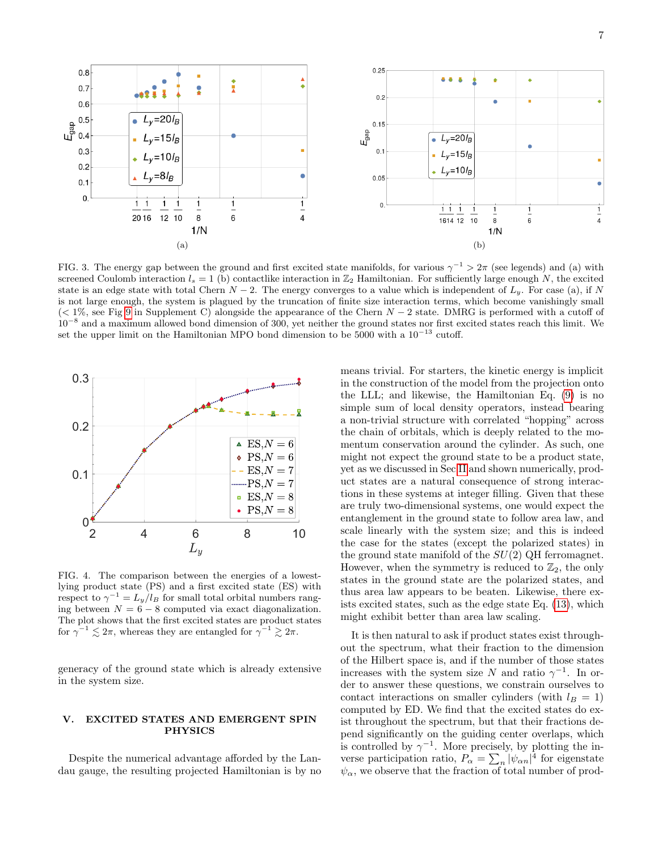<span id="page-6-0"></span>

FIG. 3. The energy gap between the ground and first excited state manifolds, for various  $\gamma^{-1} > 2\pi$  (see legends) and (a) with screened Coulomb interaction  $l_s = 1$  (b) contactlike interaction in  $\mathbb{Z}_2$  Hamiltonian. For sufficiently large enough N, the excited state is an edge state with total Chern  $N-2$ . The energy converges to a value which is independent of  $L_y$ . For case (a), if N is not large enough, the system is plagued by the truncation of finite size interaction terms, which become vanishingly small  $(< 1\%$ , see Fig [9](#page-14-0) in Supplement C) alongside the appearance of the Chern  $N - 2$  state. DMRG is performed with a cutoff of 10<sup>-8</sup> and a maximum allowed bond dimension of 300, yet neither the ground states nor first excited states reach this limit. We set the upper limit on the Hamiltonian MPO bond dimension to be  $5000$  with a  $10^{-13}$  cutoff.



<span id="page-6-1"></span>FIG. 4. The comparison between the energies of a lowestlying product state (PS) and a first excited state (ES) with respect to  $\gamma^{-1} = L_y/l_B$  for small total orbital numbers ranging between  $N = 6 - 8$  computed via exact diagonalization. The plot shows that the first excited states are product states for  $\gamma^{-1} \lesssim 2\pi$ , whereas they are entangled for  $\gamma^{-1} \gtrsim 2\pi$ .

generacy of the ground state which is already extensive in the system size.

### V. EXCITED STATES AND EMERGENT SPIN PHYSICS

Despite the numerical advantage afforded by the Landau gauge, the resulting projected Hamiltonian is by no

<span id="page-6-2"></span>means trivial. For starters, the kinetic energy is implicit in the construction of the model from the projection onto the LLL; and likewise, the Hamiltonian Eq. [\(9\)](#page-4-2) is no simple sum of local density operators, instead bearing a non-trivial structure with correlated "hopping" across the chain of orbitals, which is deeply related to the momentum conservation around the cylinder. As such, one might not expect the ground state to be a product state, yet as we discussed in Sec [II](#page-2-1) and shown numerically, product states are a natural consequence of strong interactions in these systems at integer filling. Given that these are truly two-dimensional systems, one would expect the entanglement in the ground state to follow area law, and scale linearly with the system size; and this is indeed the case for the states (except the polarized states) in the ground state manifold of the  $SU(2)$  QH ferromagnet. However, when the symmetry is reduced to  $\mathbb{Z}_2$ , the only states in the ground state are the polarized states, and thus area law appears to be beaten. Likewise, there exists excited states, such as the edge state Eq. [\(13\)](#page-5-0), which might exhibit better than area law scaling.

It is then natural to ask if product states exist throughout the spectrum, what their fraction to the dimension of the Hilbert space is, and if the number of those states increases with the system size N and ratio  $\gamma^{-1}$ . In order to answer these questions, we constrain ourselves to contact interactions on smaller cylinders (with  $l_B = 1$ ) computed by ED. We find that the excited states do exist throughout the spectrum, but that their fractions depend significantly on the guiding center overlaps, which is controlled by  $\gamma^{-1}$ . More precisely, by plotting the inverse participation ratio,  $P_{\alpha} = \sum_{n} |\psi_{\alpha n}|^4$  for eigenstate  $\psi_{\alpha}$ , we observe that the fraction of total number of prod-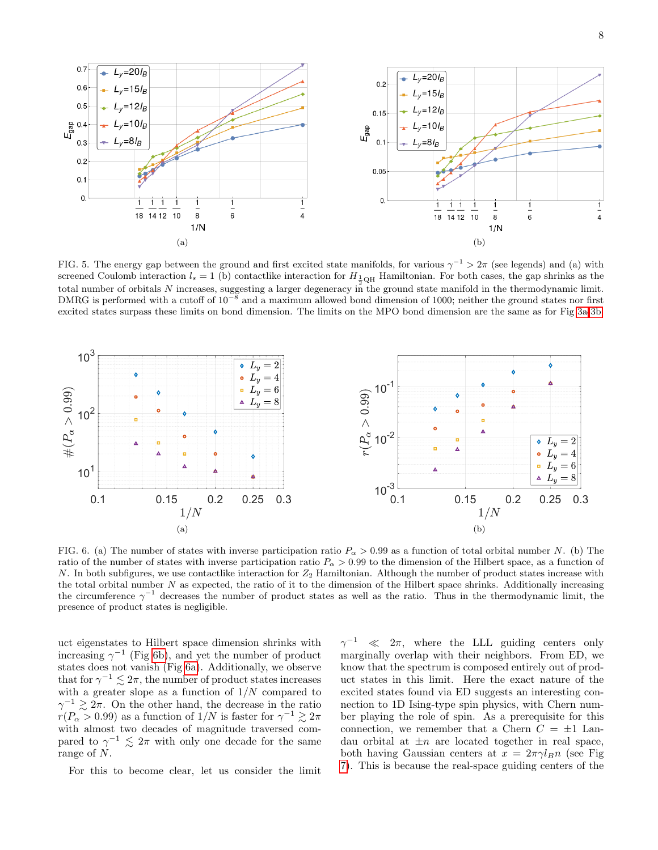<span id="page-7-0"></span>

<span id="page-7-1"></span>FIG. 5. The energy gap between the ground and first excited state manifolds, for various  $\gamma^{-1} > 2\pi$  (see legends) and (a) with screened Coulomb interaction  $l_s = 1$  (b) contactlike interaction for  $H_{\frac{1}{2}QH}$  Hamiltonian. For both cases, the gap shrinks as the total number of orbitals N increases, suggesting a larger degeneracy in the ground state manifold in the thermodynamic limit. DMRG is performed with a cutoff of  $10^{-8}$  and a maximum allowed bond dimension of 1000; neither the ground states nor first excited states surpass these limits on bond dimension. The limits on the MPO bond dimension are the same as for Fig [3a-](#page-6-0)[3b.](#page-6-2)

<span id="page-7-3"></span>

FIG. 6. (a) The number of states with inverse participation ratio  $P_{\alpha} > 0.99$  as a function of total orbital number N. (b) The ratio of the number of states with inverse participation ratio  $P_{\alpha} > 0.99$  to the dimension of the Hilbert space, as a function of  $N$ . In both subfigures, we use contactlike interaction for  $Z_2$  Hamiltonian. Although the number of product states increase with the total orbital number  $N$  as expected, the ratio of it to the dimension of the Hilbert space shrinks. Additionally increasing the circumference  $\gamma^{-1}$  decreases the number of product states as well as the ratio. Thus in the thermodynamic limit, the presence of product states is negligible.

uct eigenstates to Hilbert space dimension shrinks with increasing  $\gamma^{-1}$  (Fig [6b\)](#page-7-2), and yet the number of product states does not vanish (Fig [6a\)](#page-7-3). Additionally, we observe that for  $\gamma^{-1} \lesssim 2\pi$ , the number of product states increases with a greater slope as a function of  $1/N$  compared to  $\gamma^{-1} \gtrsim 2\pi$ . On the other hand, the decrease in the ratio  $r(P_{\alpha} > 0.99)$  as a function of  $1/N$  is faster for  $\gamma^{-1} \gtrsim 2\pi$ with almost two decades of magnitude traversed compared to  $\gamma^{-1} \leq 2\pi$  with only one decade for the same range of N.

For this to become clear, let us consider the limit

<span id="page-7-2"></span> $\gamma^{-1}$  $\ll$  2π, where the LLL guiding centers only marginally overlap with their neighbors. From ED, we know that the spectrum is composed entirely out of product states in this limit. Here the exact nature of the excited states found via ED suggests an interesting connection to 1D Ising-type spin physics, with Chern number playing the role of spin. As a prerequisite for this connection, we remember that a Chern  $C = \pm 1$  Landau orbital at  $\pm n$  are located together in real space, both having Gaussian centers at  $x = 2\pi \gamma l_B n$  (see Fig. [7\)](#page-8-0). This is because the real-space guiding centers of the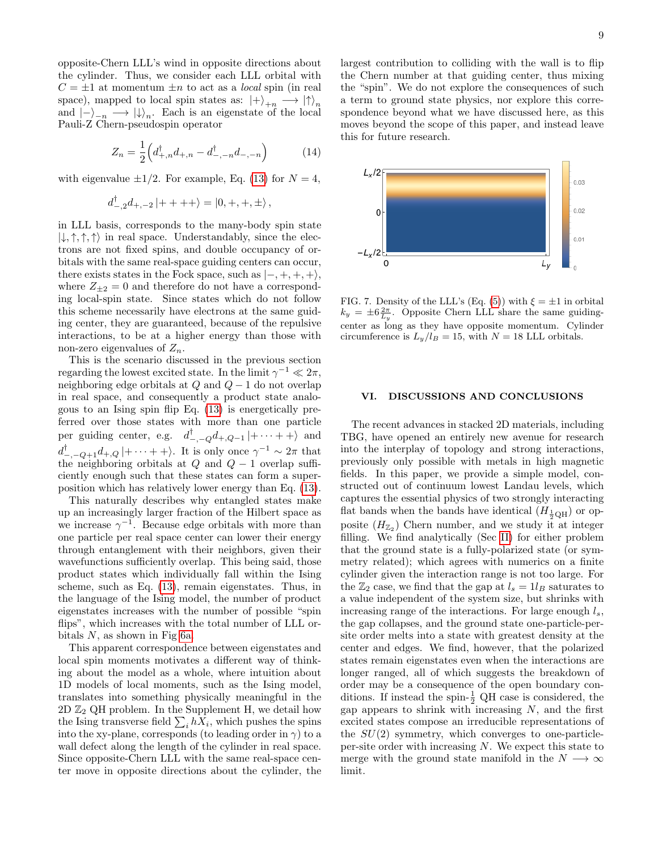opposite-Chern LLL's wind in opposite directions about the cylinder. Thus, we consider each LLL orbital with  $C = \pm 1$  at momentum  $\pm n$  to act as a *local* spin (in real space), mapped to local spin states as:  $|+\rangle_{+n} \longrightarrow |\uparrow\rangle_n$ and  $|-\rangle_{-n} \longrightarrow |\psi_{n}|\rangle_{n}$ . Each is an eigenstate of the local Pauli-Z Chern-pseudospin operator

$$
Z_n = \frac{1}{2} \left( d_{+,n}^\dagger d_{+,n} - d_{-,-n}^\dagger d_{-,-n} \right) \tag{14}
$$

with eigenvalue  $\pm 1/2$ . For example, Eq. [\(13\)](#page-5-0) for  $N = 4$ ,

$$
d_{-,2}^{\dagger}d_{+,-2}\left|++++\right\rangle =\left|0,+,+,\pm\right\rangle,
$$

in LLL basis, corresponds to the many-body spin state  $|\downarrow, \uparrow, \uparrow, \uparrow \rangle$  in real space. Understandably, since the electrons are not fixed spins, and double occupancy of orbitals with the same real-space guiding centers can occur, there exists states in the Fock space, such as  $|-,+,+,+\rangle$ , where  $Z_{\pm 2} = 0$  and therefore do not have a corresponding local-spin state. Since states which do not follow this scheme necessarily have electrons at the same guiding center, they are guaranteed, because of the repulsive interactions, to be at a higher energy than those with non-zero eigenvalues of  $Z_n$ .

This is the scenario discussed in the previous section regarding the lowest excited state. In the limit  $\gamma^{-1} \ll 2\pi$ , neighboring edge orbitals at  $Q$  and  $Q - 1$  do not overlap in real space, and consequently a product state analogous to an Ising spin flip Eq. [\(13\)](#page-5-0) is energetically preferred over those states with more than one particle per guiding center, e.g.  $d_{-,-Q}^{\dagger}d_{+,Q-1}\vert + \cdots + +\rangle$  and  $d_{-,-Q+1}^{\dagger}d_{+,Q}$   $|+\cdots++\rangle$ . It is only once  $\gamma^{-1} \sim 2\pi$  that the neighboring orbitals at  $Q$  and  $Q - 1$  overlap sufficiently enough such that these states can form a superposition which has relatively lower energy than Eq. [\(13\)](#page-5-0).

This naturally describes why entangled states make up an increasingly larger fraction of the Hilbert space as we increase  $\gamma^{-1}$ . Because edge orbitals with more than one particle per real space center can lower their energy through entanglement with their neighbors, given their wavefunctions sufficiently overlap. This being said, those product states which individually fall within the Ising scheme, such as Eq. [\(13\)](#page-5-0), remain eigenstates. Thus, in the language of the Ising model, the number of product eigenstates increases with the number of possible "spin flips", which increases with the total number of LLL orbitals  $N$ , as shown in Fig [6a.](#page-7-3)

This apparent correspondence between eigenstates and local spin moments motivates a different way of thinking about the model as a whole, where intuition about 1D models of local moments, such as the Ising model, translates into something physically meaningful in the  $2D \mathbb{Z}_2$  QH problem. In the Supplement H, we detail how the Ising transverse field  $\sum_i hX_i$ , which pushes the spins into the xy-plane, corresponds (to leading order in  $\gamma$ ) to a wall defect along the length of the cylinder in real space. Since opposite-Chern LLL with the same real-space center move in opposite directions about the cylinder, the largest contribution to colliding with the wall is to flip the Chern number at that guiding center, thus mixing the "spin". We do not explore the consequences of such a term to ground state physics, nor explore this correspondence beyond what we have discussed here, as this moves beyond the scope of this paper, and instead leave this for future research.



<span id="page-8-0"></span>FIG. 7. Density of the LLL's (Eq. [\(5\)](#page-3-1)) with  $\xi = \pm 1$  in orbital  $k_y = \pm 6 \frac{2\pi}{L_y}$ . Opposite Chern LLL share the same guidingcenter as long as they have opposite momentum. Cylinder circumference is  $L_y/l_B = 15$ , with  $N = 18$  LLL orbitals.

### VI. DISCUSSIONS AND CONCLUSIONS

The recent advances in stacked 2D materials, including TBG, have opened an entirely new avenue for research into the interplay of topology and strong interactions, previously only possible with metals in high magnetic fields. In this paper, we provide a simple model, constructed out of continuum lowest Landau levels, which captures the essential physics of two strongly interacting flat bands when the bands have identical  $(H_{\frac{1}{2}QH})$  or opposite  $(H_{\mathbb{Z}_2})$  Chern number, and we study it at integer filling. We find analytically (Sec [II\)](#page-2-1) for either problem that the ground state is a fully-polarized state (or symmetry related); which agrees with numerics on a finite cylinder given the interaction range is not too large. For the  $\mathbb{Z}_2$  case, we find that the gap at  $l_s = 1l_B$  saturates to a value independent of the system size, but shrinks with increasing range of the interactions. For large enough  $l_s$ , the gap collapses, and the ground state one-particle-persite order melts into a state with greatest density at the center and edges. We find, however, that the polarized states remain eigenstates even when the interactions are longer ranged, all of which suggests the breakdown of order may be a consequence of the open boundary conditions. If instead the spin- $\frac{1}{2}$  QH case is considered, the gap appears to shrink with increasing  $N$ , and the first excited states compose an irreducible representations of the  $SU(2)$  symmetry, which converges to one-particleper-site order with increasing  $N$ . We expect this state to merge with the ground state manifold in the  $N \longrightarrow \infty$ limit.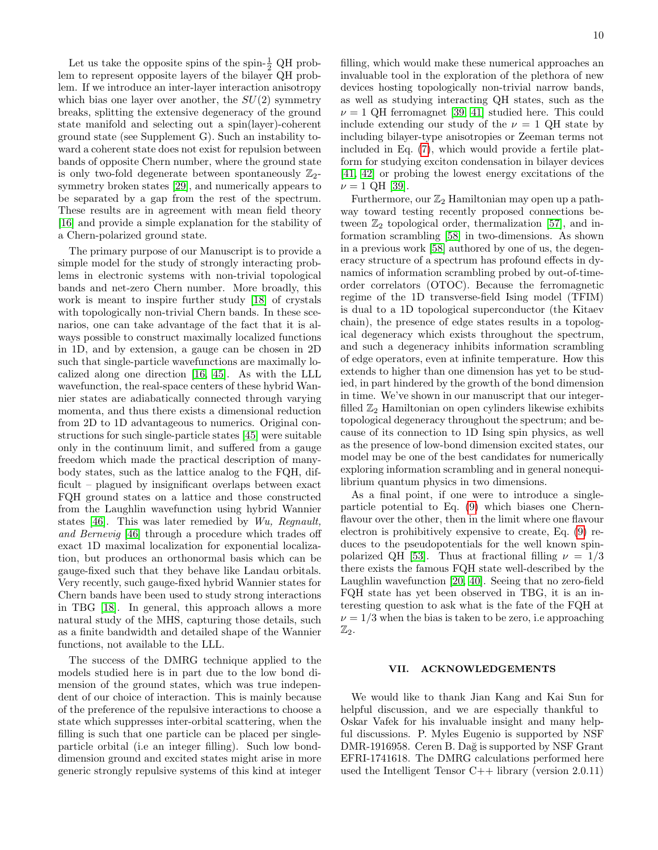Let us take the opposite spins of the spin- $\frac{1}{2}$  QH problem to represent opposite layers of the bilayer QH problem. If we introduce an inter-layer interaction anisotropy which bias one layer over another, the  $SU(2)$  symmetry breaks, splitting the extensive degeneracy of the ground state manifold and selecting out a spin(layer)-coherent ground state (see Supplement G). Such an instability toward a coherent state does not exist for repulsion between bands of opposite Chern number, where the ground state is only two-fold degenerate between spontaneously  $\mathbb{Z}_2$ symmetry broken states [\[29\]](#page-10-9), and numerically appears to be separated by a gap from the rest of the spectrum. These results are in agreement with mean field theory [\[16\]](#page-10-27) and provide a simple explanation for the stability of a Chern-polarized ground state.

The primary purpose of our Manuscript is to provide a simple model for the study of strongly interacting problems in electronic systems with non-trivial topological bands and net-zero Chern number. More broadly, this work is meant to inspire further study [\[18\]](#page-10-25) of crystals with topologically non-trivial Chern bands. In these scenarios, one can take advantage of the fact that it is always possible to construct maximally localized functions in 1D, and by extension, a gauge can be chosen in 2D such that single-particle wavefunctions are maximally localized along one direction [\[16,](#page-10-27) [45\]](#page-10-38). As with the LLL wavefunction, the real-space centers of these hybrid Wannier states are adiabatically connected through varying momenta, and thus there exists a dimensional reduction from 2D to 1D advantageous to numerics. Original constructions for such single-particle states [\[45\]](#page-10-38) were suitable only in the continuum limit, and suffered from a gauge freedom which made the practical description of manybody states, such as the lattice analog to the FQH, difficult – plagued by insignificant overlaps between exact FQH ground states on a lattice and those constructed from the Laughlin wavefunction using hybrid Wannier states [\[46\]](#page-10-20). This was later remedied by Wu, Regnault, and Bernevig [\[46\]](#page-10-20) through a procedure which trades off exact 1D maximal localization for exponential localization, but produces an orthonormal basis which can be gauge-fixed such that they behave like Landau orbitals. Very recently, such gauge-fixed hybrid Wannier states for Chern bands have been used to study strong interactions in TBG [\[18\]](#page-10-25). In general, this approach allows a more natural study of the MHS, capturing those details, such as a finite bandwidth and detailed shape of the Wannier functions, not available to the LLL.

The success of the DMRG technique applied to the models studied here is in part due to the low bond dimension of the ground states, which was true independent of our choice of interaction. This is mainly because of the preference of the repulsive interactions to choose a state which suppresses inter-orbital scattering, when the filling is such that one particle can be placed per singleparticle orbital (i.e an integer filling). Such low bonddimension ground and excited states might arise in more generic strongly repulsive systems of this kind at integer

filling, which would make these numerical approaches an invaluable tool in the exploration of the plethora of new devices hosting topologically non-trivial narrow bands, as well as studying interacting QH states, such as the  $\nu = 1$  QH ferromagnet [\[39,](#page-10-29) [41\]](#page-10-28) studied here. This could include extending our study of the  $\nu = 1$  QH state by including bilayer-type anisotropies or Zeeman terms not included in Eq. [\(7\)](#page-4-3), which would provide a fertile platform for studying exciton condensation in bilayer devices [\[41,](#page-10-28) [42\]](#page-10-18) or probing the lowest energy excitations of the  $\nu = 1$  QH [\[39\]](#page-10-29).

Furthermore, our  $\mathbb{Z}_2$  Hamiltonian may open up a pathway toward testing recently proposed connections between  $\mathbb{Z}_2$  topological order, thermalization [\[57\]](#page-11-0), and information scrambling [\[58\]](#page-11-1) in two-dimensions. As shown in a previous work [\[58\]](#page-11-1) authored by one of us, the degeneracy structure of a spectrum has profound effects in dynamics of information scrambling probed by out-of-timeorder correlators (OTOC). Because the ferromagnetic regime of the 1D transverse-field Ising model (TFIM) is dual to a 1D topological superconductor (the Kitaev chain), the presence of edge states results in a topological degeneracy which exists throughout the spectrum, and such a degeneracy inhibits information scrambling of edge operators, even at infinite temperature. How this extends to higher than one dimension has yet to be studied, in part hindered by the growth of the bond dimension in time. We've shown in our manuscript that our integerfilled  $\mathbb{Z}_2$  Hamiltonian on open cylinders likewise exhibits topological degeneracy throughout the spectrum; and because of its connection to 1D Ising spin physics, as well as the presence of low-bond dimension excited states, our model may be one of the best candidates for numerically exploring information scrambling and in general nonequilibrium quantum physics in two dimensions.

As a final point, if one were to introduce a singleparticle potential to Eq. [\(9\)](#page-4-2) which biases one Chernflavour over the other, then in the limit where one flavour electron is prohibitively expensive to create, Eq. [\(9\)](#page-4-2) reduces to the pseudopotentials for the well known spin-polarized QH [\[53\]](#page-10-39). Thus at fractional filling  $\nu = 1/3$ there exists the famous FQH state well-described by the Laughlin wavefunction [\[20,](#page-10-43) [40\]](#page-10-36). Seeing that no zero-field FQH state has yet been observed in TBG, it is an interesting question to ask what is the fate of the FQH at  $\nu = 1/3$  when the bias is taken to be zero, i.e approaching  $\mathbb{Z}_2.$ 

### VII. ACKNOWLEDGEMENTS

We would like to thank Jian Kang and Kai Sun for helpful discussion, and we are especially thankful to Oskar Vafek for his invaluable insight and many helpful discussions. P. Myles Eugenio is supported by NSF DMR-1916958. Ceren B. Dağ is supported by NSF Grant EFRI-1741618. The DMRG calculations performed here used the Intelligent Tensor C++ library (version 2.0.11)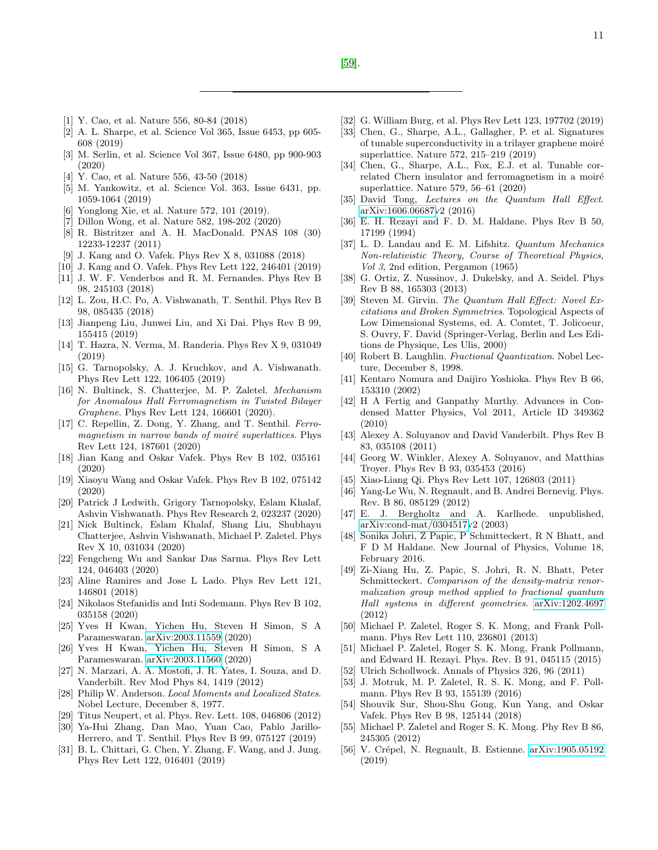- <span id="page-10-0"></span>[1] Y. Cao, et al. Nature 556, 80-84 (2018)
- <span id="page-10-26"></span>[2] A. L. Sharpe, et al. Science Vol 365, Issue 6453, pp 605- 608 (2019)
- <span id="page-10-1"></span>[3] M. Serlin, et al. Science Vol 367, Issue 6480, pp 900-903 (2020)
- <span id="page-10-2"></span>[4] Y. Cao, et al. Nature 556, 43-50 (2018)
- <span id="page-10-3"></span>[5] M. Yankowitz, et al. Science Vol. 363, Issue 6431, pp. 1059-1064 (2019)
- <span id="page-10-15"></span>[6] Yonglong Xie, et al. Nature 572, 101 (2019).
- <span id="page-10-4"></span>[7] Dillon Wong, et al. Nature 582, 198-202 (2020)
- <span id="page-10-5"></span>[8] R. Bistritzer and A. H. MacDonald. PNAS 108 (30) 12233-12237 (2011)
- <span id="page-10-21"></span>[9] J. Kang and O. Vafek. Phys Rev X 8, 031088 (2018)
- <span id="page-10-14"></span>[10] J. Kang and O. Vafek. Phys Rev Lett 122, 246401 (2019)
- [11] J. W. F. Venderbos and R. M. Fernandes. Phys Rev B 98, 245103 (2018)
- <span id="page-10-12"></span>[12] L. Zou, H.C. Po, A. Vishwanath, T. Senthil. Phys Rev B 98, 085435 (2018)
- <span id="page-10-22"></span>[13] Jianpeng Liu, Junwei Liu, and Xi Dai. Phys Rev B 99, 155415 (2019)
- [14] T. Hazra, N. Verma, M. Randeria. Phys Rev X 9, 031049 (2019)
- <span id="page-10-23"></span>[15] G. Tarnopolsky, A. J. Kruchkov, and A. Vishwanath. Phys Rev Lett 122, 106405 (2019)
- <span id="page-10-27"></span>[16] N. Bultinck, S. Chatterjee, M. P. Zaletel. Mechanism for Anomalous Hall Ferromagnetism in Twisted Bilayer Graphene. Phys Rev Lett 124, 166601 (2020).
- <span id="page-10-24"></span>[17] C. Repellin, Z. Dong, Y. Zhang, and T. Senthil. Ferromagnetism in narrow bands of moiré superlattices. Phys Rev Lett 124, 187601 (2020)
- <span id="page-10-25"></span>[18] Jian Kang and Oskar Vafek. Phys Rev B 102, 035161 (2020)
- <span id="page-10-16"></span>[19] Xiaoyu Wang and Oskar Vafek. Phys Rev B 102, 075142 (2020)
- <span id="page-10-43"></span>[20] Patrick J Ledwith, Grigory Tarnopolsky, Eslam Khalaf, Ashvin Vishwanath. Phys Rev Research 2, 023237 (2020)
- [21] Nick Bultinck, Eslam Khalaf, Shang Liu, Shubhayu Chatterjee, Ashvin Vishwanath, Michael P. Zaletel. Phys Rev X 10, 031034 (2020)
- [22] Fengcheng Wu and Sankar Das Sarma. Phys Rev Lett 124, 046403 (2020)
- [23] Aline Ramires and Jose L Lado. Phys Rev Lett 121, 146801 (2018)
- [24] Nikolaos Stefanidis and Inti Sodemann. Phys Rev B 102, 035158 (2020)
- [25] Yves H Kwan, Yichen Hu, Steven H Simon, S A Parameswaran. [arXiv:2003.11559](http://arxiv.org/abs/2003.11559) (2020)
- <span id="page-10-6"></span>[26] Yves H Kwan, Yichen Hu, Steven H Simon, S A Parameswaran. [arXiv:2003.11560](http://arxiv.org/abs/2003.11560) (2020)
- <span id="page-10-7"></span>[27] N. Marzari, A. A. Mostofi, J. R. Yates, I. Souza, and D. Vanderbilt. Rev Mod Phys 84, 1419 (2012)
- <span id="page-10-8"></span>[28] Philip W. Anderson. Local Moments and Localized States. Nobel Lecture, December 8, 1977.
- <span id="page-10-9"></span>[29] Titus Neupert, et al. Phys. Rev. Lett. 108, 046806 (2012)
- <span id="page-10-10"></span>[30] Ya-Hui Zhang, Dan Mao, Yuan Cao, Pablo Jarillo-Herrero, and T. Senthil. Phys Rev B 99, 075127 (2019)
- <span id="page-10-13"></span>[31] B. L. Chittari, G. Chen, Y. Zhang, F. Wang, and J. Jung. Phys Rev Lett 122, 016401 (2019)
- [32] G. William Burg, et al. Phys Rev Lett 123, 197702 (2019)
- [33] Chen, G., Sharpe, A.L., Gallagher, P. et al. Signatures of tunable superconductivity in a trilayer graphene moiré superlattice. Nature 572, 215–219 (2019)
- <span id="page-10-11"></span>[34] Chen, G., Sharpe, A.L., Fox, E.J. et al. Tunable correlated Chern insulator and ferromagnetism in a moiré superlattice. Nature 579, 56–61 (2020)
- <span id="page-10-17"></span>[35] David Tong, Lectures on the Quantum Hall Effect. [arXiv:1606.06687v](http://arxiv.org/abs/1606.06687)2 (2016)
- <span id="page-10-35"></span>[36] E. H. Rezayi and F. D. M. Haldane. Phys Rev B 50, 17199 (1994)
- <span id="page-10-32"></span>[37] L. D. Landau and E. M. Lifshitz. Quantum Mechanics Non-relativistic Theory, Course of Theoretical Physics, Vol 3, 2nd edition, Pergamon (1965)
- <span id="page-10-33"></span>[38] G. Ortiz, Z. Nussinov, J. Dukelsky, and A. Seidel. Phys Rev B 88, 165303 (2013)
- <span id="page-10-29"></span>[39] Steven M. Girvin. The Quantum Hall Effect: Novel Excitations and Broken Symmetries. Topological Aspects of Low Dimensional Systems, ed. A. Comtet, T. Jolicoeur, S. Ouvry, F. David (Springer-Verlag, Berlin and Les Editions de Physique, Les Ulis, 2000)
- <span id="page-10-36"></span>[40] Robert B. Laughlin. Fractional Quantization. Nobel Lecture, December 8, 1998.
- <span id="page-10-28"></span>[41] Kentaro Nomura and Daijiro Yoshioka. Phys Rev B 66, 153310 (2002)
- <span id="page-10-18"></span>[42] H A Fertig and Ganpathy Murthy. Advances in Condensed Matter Physics, Vol 2011, Article ID 349362 (2010)
- <span id="page-10-19"></span>[43] Alexey A. Soluyanov and David Vanderbilt. Phys Rev B 83, 035108 (2011)
- [44] Georg W. Winkler, Alexey A. Soluyanov, and Matthias Troyer. Phys Rev B 93, 035453 (2016)
- <span id="page-10-38"></span>[45] Xiao-Liang Qi. Phys Rev Lett 107, 126803 (2011)
- <span id="page-10-20"></span>[46] Yang-Le Wu, N. Regnault, and B. Andrei Bernevig. Phys. Rev. B 86, 085129 (2012)
- <span id="page-10-30"></span>[47] E. J. Bergholtz and A. Karlhede. unpublished, [arXiv:cond-mat/0304517v](http://arxiv.org/abs/cond-mat/0304517)2 (2003)
- <span id="page-10-42"></span>[48] Sonika Johri, Z Papic, P Schmitteckert, R N Bhatt, and F D M Haldane. New Journal of Physics, Volume 18, February 2016.
- [49] Zi-Xiang Hu, Z. Papic, S. Johri, R. N. Bhatt, Peter Schmitteckert. Comparison of the density-matrix renormalization group method applied to fractional quantum Hall systems in different geometries. [arXiv:1202.4697](http://arxiv.org/abs/1202.4697) (2012)
- <span id="page-10-37"></span>[50] Michael P. Zaletel, Roger S. K. Mong, and Frank Pollmann. Phys Rev Lett 110, 236801 (2013)
- <span id="page-10-34"></span>[51] Michael P. Zaletel, Roger S. K. Mong, Frank Pollmann, and Edward H. Rezayi. Phys. Rev. B 91, 045115 (2015)
- [52] Ulrich Schollwock. Annals of Physics 326, 96 (2011)
- <span id="page-10-39"></span>[53] J. Motruk, M. P. Zaletel, R. S. K. Mong, and F. Pollmann. Phys Rev B 93, 155139 (2016)
- <span id="page-10-31"></span>[54] Shouvik Sur, Shou-Shu Gong, Kun Yang, and Oskar Vafek. Phys Rev B 98, 125144 (2018)
- <span id="page-10-40"></span>[55] Michael P. Zaletel and Roger S. K. Mong. Phy Rev B 86, 245305 (2012)
- <span id="page-10-41"></span>[56] V. Crépel, N. Regnault, B. Estienne. [arXiv:1905.05192](http://arxiv.org/abs/1905.05192) (2019)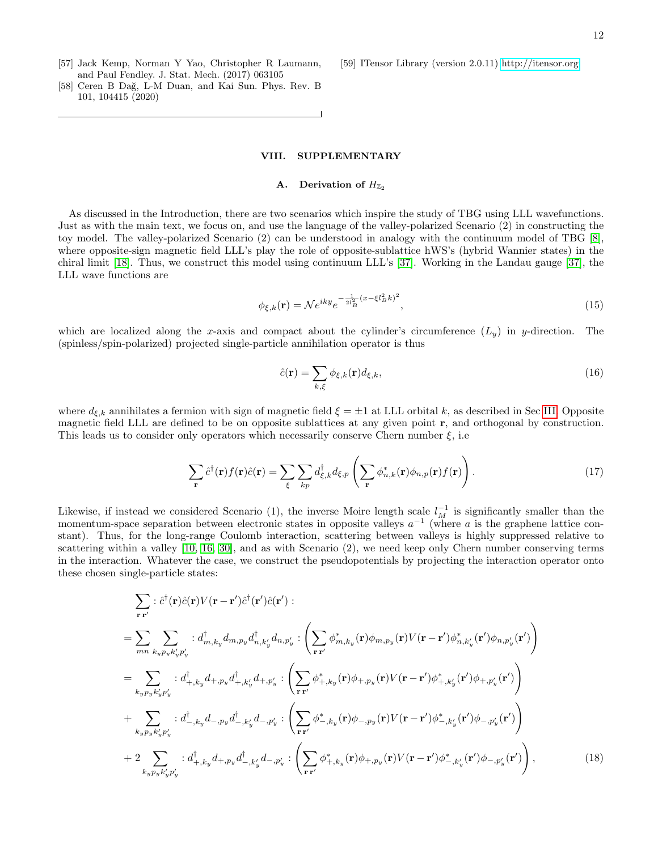- <span id="page-11-0"></span>[57] Jack Kemp, Norman Y Yao, Christopher R Laumann, and Paul Fendley. J. Stat. Mech. (2017) 063105
- <span id="page-11-1"></span>[58] Ceren B Dağ, L-M Duan, and Kai Sun. Phys. Rev. B 101, 104415 (2020)

## VIII. SUPPLEMENTARY

# A. Derivation of  $H_{\mathbb{Z}_2}$

As discussed in the Introduction, there are two scenarios which inspire the study of TBG using LLL wavefunctions. Just as with the main text, we focus on, and use the language of the valley-polarized Scenario (2) in constructing the toy model. The valley-polarized Scenario (2) can be understood in analogy with the continuum model of TBG [\[8\]](#page-10-5), where opposite-sign magnetic field LLL's play the role of opposite-sublattice hWS's (hybrid Wannier states) in the chiral limit [\[18\]](#page-10-25). Thus, we construct this model using continuum LLL's [\[37\]](#page-10-32). Working in the Landau gauge [\[37\]](#page-10-32), the LLL wave functions are

$$
\phi_{\xi,k}(\mathbf{r}) = \mathcal{N}e^{iky}e^{-\frac{1}{2l_B^2}(x-\xi l_B^2k)^2},\tag{15}
$$

which are localized along the x-axis and compact about the cylinder's circumference  $(L_y)$  in y-direction. The (spinless/spin-polarized) projected single-particle annihilation operator is thus

<span id="page-11-3"></span>
$$
\hat{c}(\mathbf{r}) = \sum_{k,\xi} \phi_{\xi,k}(\mathbf{r}) d_{\xi,k},\tag{16}
$$

where  $d_{\xi,k}$  annihilates a fermion with sign of magnetic field  $\xi = \pm 1$  at LLL orbital k, as described in Sec [III.](#page-3-2) Opposite magnetic field LLL are defined to be on opposite sublattices at any given point r, and orthogonal by construction. This leads us to consider only operators which necessarily conserve Chern number  $\xi$ , i.e.

$$
\sum_{\mathbf{r}} \hat{c}^{\dagger}(\mathbf{r}) f(\mathbf{r}) \hat{c}(\mathbf{r}) = \sum_{\xi} \sum_{kp} d^{\dagger}_{\xi,k} d_{\xi,p} \left( \sum_{\mathbf{r}} \phi_{n,k}^{*}(\mathbf{r}) \phi_{n,p}(\mathbf{r}) f(\mathbf{r}) \right). \tag{17}
$$

Likewise, if instead we considered Scenario (1), the inverse Moire length scale  $l_M^{-1}$  is significantly smaller than the momentum-space separation between electronic states in opposite valleys  $a^{-1}$  (where a is the graphene lattice constant). Thus, for the long-range Coulomb interaction, scattering between valleys is highly suppressed relative to scattering within a valley [\[10,](#page-10-14) [16,](#page-10-27) [30\]](#page-10-10), and as with Scenario (2), we need keep only Chern number conserving terms in the interaction. Whatever the case, we construct the pseudopotentials by projecting the interaction operator onto these chosen single-particle states:

$$
\sum_{\mathbf{r}\mathbf{r}'} \left. \left( \hat{c}^{\dagger}(\mathbf{r})\hat{c}(\mathbf{r})V(\mathbf{r}-\mathbf{r}')\hat{c}^{\dagger}(\mathbf{r}')\hat{c}(\mathbf{r}') \right. \right. \\
= \sum_{mn} \sum_{k_{y}p_{y}k'_{y}p'_{y}} \left. \left( d_{m,k_{y}}^{\dagger}d_{m,p_{y}}d_{n,k_{y}}^{\dagger}d_{n,p'_{y}} \right) \left( \sum_{\mathbf{r}\mathbf{r}'} \phi_{m,k_{y}}^{*}(\mathbf{r})\phi_{m,p_{y}}(\mathbf{r})V(\mathbf{r}-\mathbf{r}')\phi_{n,k_{y}}^{*}(\mathbf{r}')\phi_{n,p'_{y}}(\mathbf{r}') \right) \right. \\
= \sum_{k_{y}p_{y}k'_{y}p'_{y}} \left. \left( d_{+,k_{y}}^{\dagger}d_{+,p_{y}}d_{+,k_{y}}^{\dagger}d_{+,p'_{y}} \right) \left( \sum_{\mathbf{r}\mathbf{r}'} \phi_{+,k_{y}}^{*}(\mathbf{r})\phi_{+,p_{y}}(\mathbf{r})V(\mathbf{r}-\mathbf{r}')\phi_{+,k_{y}}^{*}(\mathbf{r}')\phi_{+,p'_{y}}(\mathbf{r}') \right) \right. \\
+ \sum_{k_{y}p_{y}k'_{y}p'_{y}} \left. \left( d_{-,k_{y}}^{\dagger}d_{-,p_{y}}d_{-,k_{y}}^{\dagger}d_{-,p'_{y}} \right) \left( \sum_{\mathbf{r}\mathbf{r}'} \phi_{-,k_{y}}^{*}(\mathbf{r})\phi_{-,p_{y}}(\mathbf{r})V(\mathbf{r}-\mathbf{r}')\phi_{-,k_{y}}^{*}(\mathbf{r}')\phi_{-,p'_{y}}(\mathbf{r}') \right) \right) \\
+ 2 \sum_{k_{y}p_{y}k'_{y}p'_{y}} \left. \left( d_{+,k_{y}}^{\dagger}d_{+,p_{y}}d_{-,k_{y}}^{\dagger}d_{-,p'_{y}} \right) \left( \sum_{\mathbf{r}\mathbf{r}'} \phi_{+,k_{y}}^{*}(\mathbf{r})\phi_{+,p_{y}}(\mathbf{r})V(\mathbf{r}-\mathbf{r}')\phi_{-,k_{y}}^{*}(\math
$$

<span id="page-11-2"></span>[59] ITensor Library (version 2.0.11)<http://itensor.org>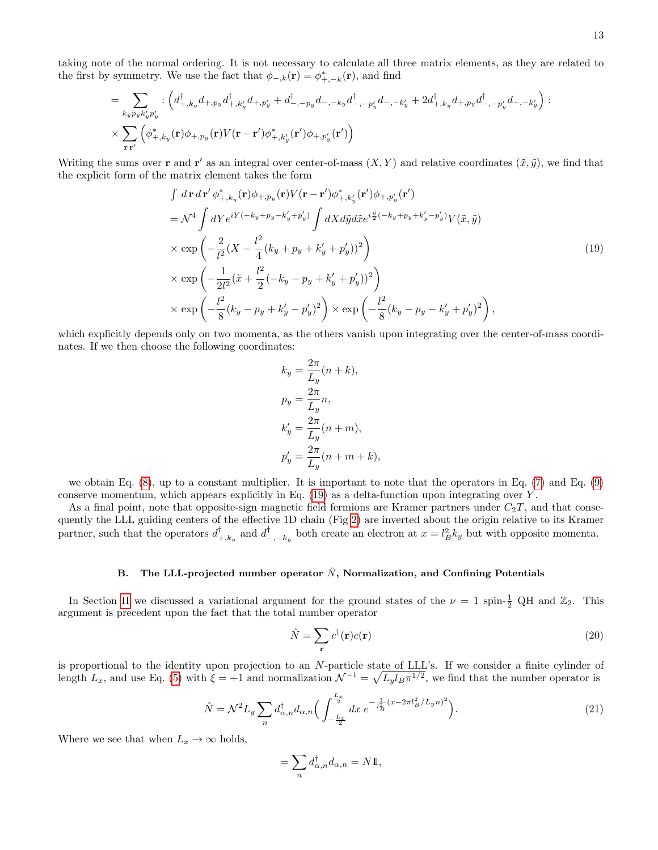taking note of the normal ordering. It is not necessary to calculate all three matrix elements, as they are related to the first by symmetry. We use the fact that  $\phi_{-,k}(\mathbf{r}) = \phi^*_{+,-k}(\mathbf{r})$ , and find

<span id="page-12-0"></span>
$$
= \sum_{k_{y}p_{y}k'_{y}p'_{y}} : \left(d_{+,k_{y}}^{\dagger}d_{+,p_{y}}d_{+,k'_{y}}^{\dagger}d_{+,p'_{y}} + d_{-,-p_{y}}^{\dagger}d_{-,-k_{y}}d_{-,-k'_{y}}^{\dagger}d_{-,-k'_{y}} + 2d_{+,k_{y}}^{\dagger}d_{+,p_{y}}d_{-,-p'_{y}}^{\dagger}d_{-,-k'_{y}}\right):\times \sum_{\mathbf{r}\mathbf{r}'}\left(\phi_{+,k_{y}}^{*}(\mathbf{r})\phi_{+,p_{y}}(\mathbf{r})V(\mathbf{r}-\mathbf{r}')\phi_{+,k'_{y}}^{*}(\mathbf{r}')\phi_{+,p'_{y}}(\mathbf{r}')\right)
$$

Writing the sums over **r** and **r'** as an integral over center-of-mass  $(X, Y)$  and relative coordinates  $(\tilde{x}, \tilde{y})$ , we find that the explicit form of the matrix element takes the form

$$
\int d\mathbf{r} d\mathbf{r}' \phi_{+,k_y}^*(\mathbf{r}) \phi_{+,p_y}(\mathbf{r}) V(\mathbf{r} - \mathbf{r}') \phi_{+,k_y'}^*(\mathbf{r}') \phi_{+,p_y'}(\mathbf{r}')
$$
\n
$$
= \mathcal{N}^4 \int dY e^{iY(-k_y + p_y - k_y' + p_y')} \int dX d\tilde{y} d\tilde{x} e^{i\frac{\tilde{y}}{2}(-k_y + p_y + k_y' - p_y')} V(\tilde{x}, \tilde{y})
$$
\n
$$
\times \exp\left(-\frac{2}{l^2} (X - \frac{l^2}{4} (k_y + p_y + k_y' + p_y'))^2\right)
$$
\n
$$
\times \exp\left(-\frac{1}{2l^2} (\tilde{x} + \frac{l^2}{2} (-k_y - p_y + k_y' + p_y'))^2\right)
$$
\n
$$
\times \exp\left(-\frac{l^2}{8} (k_y - p_y + k_y' - p_y')^2\right) \times \exp\left(-\frac{l^2}{8} (k_y - p_y - k_y' + p_y')^2\right),
$$
\n(19)

which explicitly depends only on two momenta, as the others vanish upon integrating over the center-of-mass coordinates. If we then choose the following coordinates:

$$
k_y = \frac{2\pi}{L_y}(n+k),
$$
  
\n
$$
p_y = \frac{2\pi}{L_y}n,
$$
  
\n
$$
k'_y = \frac{2\pi}{L_y}(n+m),
$$
  
\n
$$
p'_y = \frac{2\pi}{L_y}(n+m+k),
$$

we obtain Eq. [\(8\)](#page-4-1), up to a constant multiplier. It is important to note that the operators in Eq. [\(7\)](#page-4-3) and Eq. [\(9\)](#page-4-2) conserve momentum, which appears explicitly in Eq.  $(19)$  as a delta-function upon integrating over Y.

As a final point, note that opposite-sign magnetic field fermions are Kramer partners under  $C_2T$ , and that consequently the LLL guiding centers of the effective 1D chain (Fig [2\)](#page-4-0) are inverted about the origin relative to its Kramer partner, such that the operators  $d_{+,k_y}^{\dagger}$  and  $d_{-, -k_y}^{\dagger}$  both create an electron at  $x = l_B^2 k_y$  but with opposite momenta.

# B. The LLL-projected number operator  $\hat{N}$ , Normalization, and Confining Potentials

In Section [II](#page-2-1) we discussed a variational argument for the ground states of the  $\nu = 1$  spin- $\frac{1}{2}$  QH and  $\mathbb{Z}_2$ . This argument is precedent upon the fact that the total number operator

$$
\hat{N} = \sum_{\mathbf{r}} c^{\dagger}(\mathbf{r}) c(\mathbf{r}) \tag{20}
$$

is proportional to the identity upon projection to an N-particle state of LLL's. If we consider a finite cylinder of length  $L_x$ , and use Eq. [\(5\)](#page-3-1) with  $\xi = +1$  and normalization  $\mathcal{N}^{-1} = \sqrt{L_y l_B \pi^{1/2}}$ , we find that the number operator is

$$
\hat{N} = \mathcal{N}^2 L_y \sum_n d_{\alpha,n}^\dagger d_{\alpha,n} \Big( \int_{-\frac{L_x}{2}}^{\frac{L_x}{2}} dx \ e^{-\frac{1}{l_B^2} (x - 2\pi l_B^2 / L_y n)^2} \Big). \tag{21}
$$

Where we see that when  $L_x \to \infty$  holds,

$$
=\sum_{n}d^{\dagger}_{\alpha,n}d_{\alpha,n}=N\mathbb{1},
$$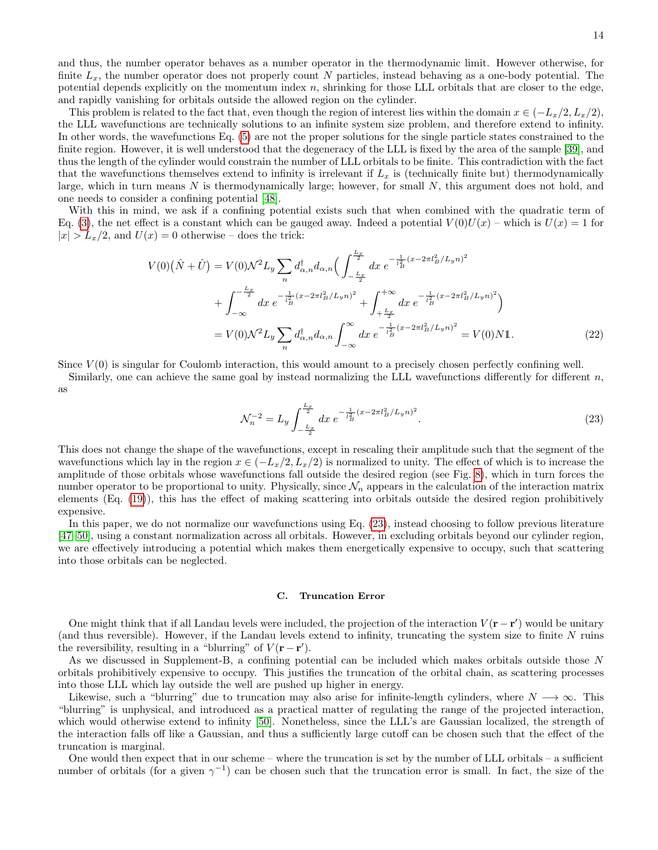and thus, the number operator behaves as a number operator in the thermodynamic limit. However otherwise, for finite  $L_x$ , the number operator does not properly count N particles, instead behaving as a one-body potential. The potential depends explicitly on the momentum index  $n$ , shrinking for those LLL orbitals that are closer to the edge, and rapidly vanishing for orbitals outside the allowed region on the cylinder.

This problem is related to the fact that, even though the region of interest lies within the domain  $x \in (-L_x/2, L_x/2)$ , the LLL wavefunctions are technically solutions to an infinite system size problem, and therefore extend to infinity. In other words, the wavefunctions Eq. [\(5\)](#page-3-1) are not the proper solutions for the single particle states constrained to the finite region. However, it is well understood that the degeneracy of the LLL is fixed by the area of the sample [\[39\]](#page-10-29), and thus the length of the cylinder would constrain the number of LLL orbitals to be finite. This contradiction with the fact that the wavefunctions themselves extend to infinity is irrelevant if  $L_x$  is (technically finite but) thermodynamically large, which in turn means  $N$  is thermodynamically large; however, for small  $N$ , this argument does not hold, and one needs to consider a confining potential [\[48\]](#page-10-42).

With this in mind, we ask if a confining potential exists such that when combined with the quadratic term of Eq. [\(3\)](#page-3-3), the net effect is a constant which can be gauged away. Indeed a potential  $V(0)U(x)$  – which is  $U(x) = 1$  for  $|x| > L_x/2$ , and  $U(x) = 0$  otherwise – does the trick:

$$
V(0)\left(\hat{N}+\hat{U}\right) = V(0)\mathcal{N}^{2}L_{y}\sum_{n}d_{\alpha,n}^{\dagger}d_{\alpha,n}\left(\int_{-\frac{L_{x}}{2}}^{\frac{L_{x}}{2}}dx \ e^{-\frac{1}{l_{B}^{2}}(x-2\pi l_{B}^{2}/L_{y}n)^{2}}\right. \\
\left. + \int_{-\infty}^{-\frac{L_{x}}{2}}dx \ e^{-\frac{1}{l_{B}^{2}}(x-2\pi l_{B}^{2}/L_{y}n)^{2}} + \int_{+\frac{L_{x}}{2}}^{+\infty}dx \ e^{-\frac{1}{l_{B}^{2}}(x-2\pi l_{B}^{2}/L_{y}n)^{2}}\right) \\
= V(0)\mathcal{N}^{2}L_{y}\sum_{n}d_{\alpha,n}^{\dagger}d_{\alpha,n}\int_{-\infty}^{\infty}dx \ e^{-\frac{1}{l_{B}^{2}}(x-2\pi l_{B}^{2}/L_{y}n)^{2}} = V(0)\mathcal{N}1. \tag{22}
$$

Since  $V(0)$  is singular for Coulomb interaction, this would amount to a precisely chosen perfectly confining well.

Similarly, one can achieve the same goal by instead normalizing the LLL wavefunctions differently for different  $n$ , as

<span id="page-13-0"></span>
$$
\mathcal{N}_n^{-2} = L_y \int_{-\frac{L_x}{2}}^{\frac{L_x}{2}} dx \ e^{-\frac{1}{l_B^2}(x - 2\pi l_B^2 / L_y n)^2}.
$$
\n(23)

This does not change the shape of the wavefunctions, except in rescaling their amplitude such that the segment of the wavefunctions which lay in the region  $x \in (-L_x/2, L_x/2)$  is normalized to unity. The effect of which is to increase the amplitude of those orbitals whose wavefunctions fall outside the desired region (see Fig. [8\)](#page-14-1), which in turn forces the number operator to be proportional to unity. Physically, since  $\mathcal{N}_n$  appears in the calculation of the interaction matrix elements (Eq. [\(19\)](#page-12-0)), this has the effect of making scattering into orbitals outside the desired region prohibitively expensive.

In this paper, we do not normalize our wavefunctions using Eq. [\(23\)](#page-13-0), instead choosing to follow previous literature [\[47–](#page-10-30)[50\]](#page-10-37), using a constant normalization across all orbitals. However, in excluding orbitals beyond our cylinder region, we are effectively introducing a potential which makes them energetically expensive to occupy, such that scattering into those orbitals can be neglected.

#### C. Truncation Error

One might think that if all Landau levels were included, the projection of the interaction  $V(\mathbf{r} - \mathbf{r}')$  would be unitary (and thus reversible). However, if the Landau levels extend to infinity, truncating the system size to finite N ruins the reversibility, resulting in a "blurring" of  $V(\mathbf{r} - \mathbf{r}')$ .

As we discussed in Supplement-B, a confining potential can be included which makes orbitals outside those N orbitals prohibitively expensive to occupy. This justifies the truncation of the orbital chain, as scattering processes into those LLL which lay outside the well are pushed up higher in energy.

Likewise, such a "blurring" due to truncation may also arise for infinite-length cylinders, where  $N \rightarrow \infty$ . This "blurring" is unphysical, and introduced as a practical matter of regulating the range of the projected interaction, which would otherwise extend to infinity [\[50\]](#page-10-37). Nonetheless, since the LLL's are Gaussian localized, the strength of the interaction falls off like a Gaussian, and thus a sufficiently large cutoff can be chosen such that the effect of the truncation is marginal.

One would then expect that in our scheme – where the truncation is set by the number of LLL orbitals – a sufficient number of orbitals (for a given  $\gamma^{-1}$ ) can be chosen such that the truncation error is small. In fact, the size of the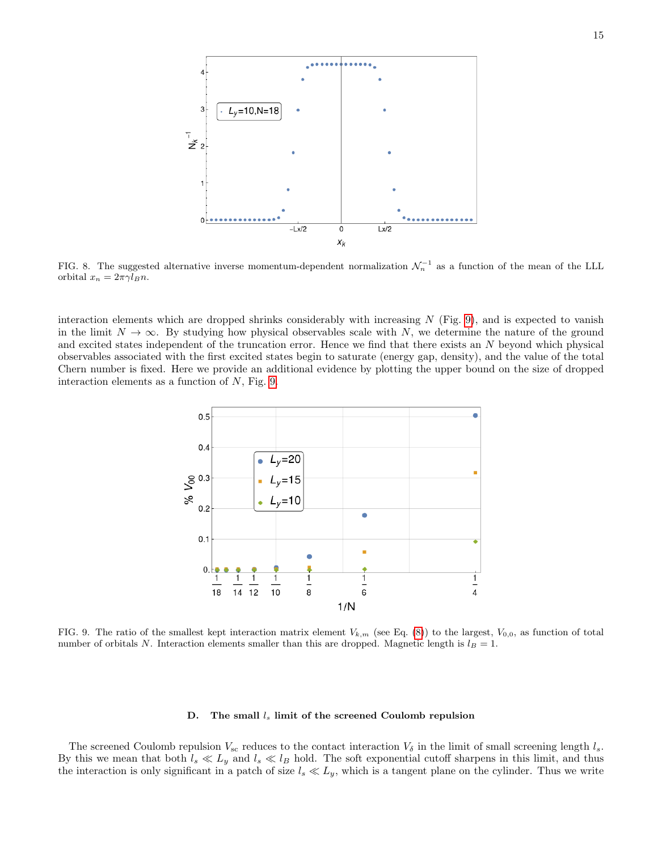

<span id="page-14-1"></span>FIG. 8. The suggested alternative inverse momentum-dependent normalization  $\mathcal{N}_n^{-1}$  as a function of the mean of the LLL orbital  $x_n = 2\pi \gamma l_B n$ .

interaction elements which are dropped shrinks considerably with increasing  $N$  (Fig. [9\)](#page-14-0), and is expected to vanish in the limit  $N \to \infty$ . By studying how physical observables scale with N, we determine the nature of the ground and excited states independent of the truncation error. Hence we find that there exists an N beyond which physical observables associated with the first excited states begin to saturate (energy gap, density), and the value of the total Chern number is fixed. Here we provide an additional evidence by plotting the upper bound on the size of dropped interaction elements as a function of  $N$ , Fig. [9.](#page-14-0)



<span id="page-14-0"></span>FIG. 9. The ratio of the smallest kept interaction matrix element  $V_{k,m}$  (see Eq. [\(8\)](#page-4-1)) to the largest,  $V_{0,0}$ , as function of total number of orbitals N. Interaction elements smaller than this are dropped. Magnetic length is  $l_B = 1$ .

#### D. The small  $l_s$  limit of the screened Coulomb repulsion

The screened Coulomb repulsion  $V_{\rm sc}$  reduces to the contact interaction  $V_{\delta}$  in the limit of small screening length  $l_s$ . By this we mean that both  $l_s \ll L_y$  and  $l_s \ll l_B$  hold. The soft exponential cutoff sharpens in this limit, and thus the interaction is only significant in a patch of size  $l_s \ll L_y$ , which is a tangent plane on the cylinder. Thus we write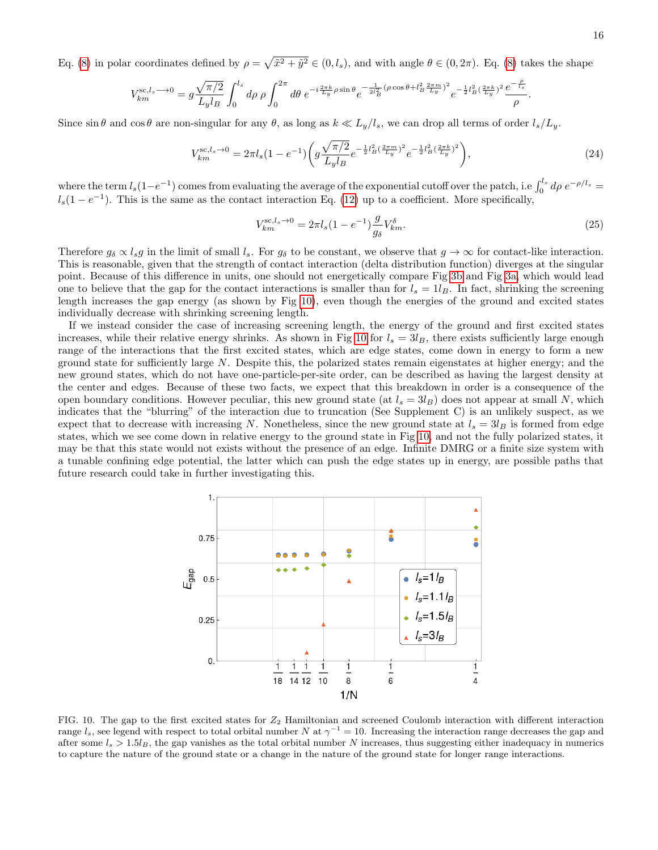Eq. [\(8\)](#page-4-1) in polar coordinates defined by  $\rho = \sqrt{\tilde{x}^2 + \tilde{y}^2} \in (0, l_s)$ , and with angle  $\theta \in (0, 2\pi)$ . Eq. (8) takes the shape

$$
V_{km}^{\text{sc},l_s \longrightarrow 0} = g \frac{\sqrt{\pi/2}}{L_y l_B} \int_0^{l_s} d\rho \, \rho \int_0^{2\pi} d\theta \, e^{-i \frac{2\pi k}{L_y} \rho \sin \theta} e^{-\frac{1}{2l_B^2} (\rho \cos \theta + l_B^2 \frac{2\pi m}{L_y})^2} e^{-\frac{1}{2}l_B^2 (\frac{2\pi k}{L_y})^2} \frac{e^{-\frac{\rho}{l_s}}}{\rho}
$$

Since  $\sin \theta$  and  $\cos \theta$  are non-singular for any  $\theta$ , as long as  $k \ll L_y/l_s$ , we can drop all terms of order  $l_s/L_y$ .

$$
V_{km}^{\text{sc},l_s \to 0} = 2\pi l_s (1 - e^{-1}) \left( g \frac{\sqrt{\pi/2}}{L_y l_B} e^{-\frac{1}{2} l_B^2 (\frac{2\pi m}{L_y})^2} e^{-\frac{1}{2} l_B^2 (\frac{2\pi k}{L_y})^2} \right),\tag{24}
$$

where the term  $l_s(1-e^{-1})$  comes from evaluating the average of the exponential cutoff over the patch, i.e  $\int_0^{l_s} d\rho \, e^{-\rho/l_s}$  $l_s(1-e^{-1})$ . This is the same as the contact interaction Eq. [\(12\)](#page-4-5) up to a coefficient. More specifically,

$$
V_{km}^{\text{sc},l_s \to 0} = 2\pi l_s (1 - e^{-1}) \frac{g}{g_\delta} V_{km}^\delta.
$$
\n(25)

Therefore  $g_{\delta} \propto l_s g$  in the limit of small  $l_s$ . For  $g_{\delta}$  to be constant, we observe that  $g \to \infty$  for contact-like interaction. This is reasonable, given that the strength of contact interaction (delta distribution function) diverges at the singular point. Because of this difference in units, one should not energetically compare Fig [3b](#page-6-2) and Fig [3a,](#page-6-0) which would lead one to believe that the gap for the contact interactions is smaller than for  $l_s = 1l_B$ . In fact, shrinking the screening length increases the gap energy (as shown by Fig [10\)](#page-15-0), even though the energies of the ground and excited states individually decrease with shrinking screening length.

If we instead consider the case of increasing screening length, the energy of the ground and first excited states increases, while their relative energy shrinks. As shown in Fig [10](#page-15-0) for  $l_s = 3l_B$ , there exists sufficiently large enough range of the interactions that the first excited states, which are edge states, come down in energy to form a new ground state for sufficiently large  $N$ . Despite this, the polarized states remain eigenstates at higher energy; and the new ground states, which do not have one-particle-per-site order, can be described as having the largest density at the center and edges. Because of these two facts, we expect that this breakdown in order is a consequence of the open boundary conditions. However peculiar, this new ground state (at  $l_s = 3l_B$ ) does not appear at small N, which indicates that the "blurring" of the interaction due to truncation (See Supplement C) is an unlikely suspect, as we expect that to decrease with increasing N. Nonetheless, since the new ground state at  $l_s = 3l_B$  is formed from edge states, which we see come down in relative energy to the ground state in Fig [10,](#page-15-0) and not the fully polarized states, it may be that this state would not exists without the presence of an edge. Infinite DMRG or a finite size system with a tunable confining edge potential, the latter which can push the edge states up in energy, are possible paths that future research could take in further investigating this.



<span id="page-15-0"></span>FIG. 10. The gap to the first excited states for  $Z_2$  Hamiltonian and screened Coulomb interaction with different interaction range  $l_s$ , see legend with respect to total orbital number N at  $\gamma^{-1} = 10$ . Increasing the interaction range decreases the gap and after some  $l_s > 1.5l_B$ , the gap vanishes as the total orbital number N increases, thus suggesting either inadequacy in numerics to capture the nature of the ground state or a change in the nature of the ground state for longer range interactions.

.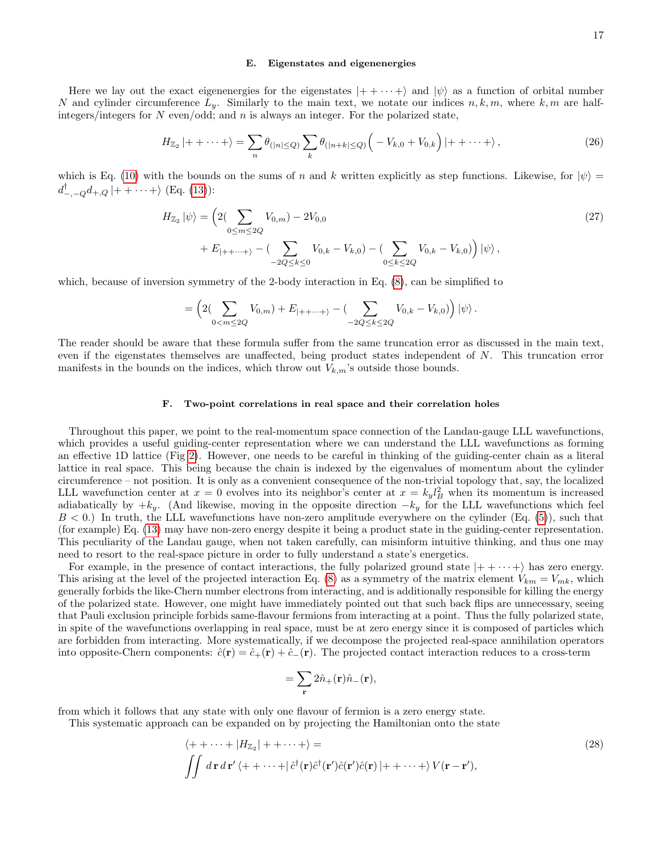#### E. Eigenstates and eigenenergies

Here we lay out the exact eigenenergies for the eigenstates  $|++\cdots+\rangle$  and  $|\psi\rangle$  as a function of orbital number N and cylinder circumference  $L_y$ . Similarly to the main text, we notate our indices  $n, k, m$ , where  $k, m$  are halfintegers/integers for  $N$  even/odd; and  $n$  is always an integer. For the polarized state,

$$
H_{\mathbb{Z}_2}|++\cdots+\rangle = \sum_n \theta_{(|n|\leq Q)} \sum_k \theta_{(|n+k|\leq Q)} \left(-V_{k,0}+V_{0,k}\right)|++\cdots+\rangle, \tag{26}
$$

which is Eq. [\(10\)](#page-4-4) with the bounds on the sums of n and k written explicitly as step functions. Likewise, for  $|\psi\rangle$  =  $d_{-,-Q}^{\dagger}d_{+,Q}\,|++\cdots+\rangle$  (Eq. [\(13\)](#page-5-0)):

$$
H_{\mathbb{Z}_2} |\psi\rangle = \left( 2(\sum_{0 \le m \le 2Q} V_{0,m}) - 2V_{0,0} \right)
$$
  
+  $E_{|++\cdots+}\rangle - (\sum_{-2Q \le k \le 0} V_{0,k} - V_{k,0}) - (\sum_{0 \le k \le 2Q} V_{0,k} - V_{k,0}) \right) |\psi\rangle,$  (27)

which, because of inversion symmetry of the 2-body interaction in Eq.  $(8)$ , can be simplified to

$$
= \left( 2 \left( \sum_{0 < m \leq 2Q} V_{0,m} \right) + E_{|++\cdots+}\right) - \left( \sum_{-2Q \leq k \leq 2Q} V_{0,k} - V_{k,0} \right) \left| \psi \right\rangle.
$$

The reader should be aware that these formula suffer from the same truncation error as discussed in the main text, even if the eigenstates themselves are unaffected, being product states independent of N. This truncation error manifests in the bounds on the indices, which throw out  $V_{k,m}$ 's outside those bounds.

#### F. Two-point correlations in real space and their correlation holes

Throughout this paper, we point to the real-momentum space connection of the Landau-gauge LLL wavefunctions, which provides a useful guiding-center representation where we can understand the LLL wavefunctions as forming an effective 1D lattice (Fig [2\)](#page-4-0). However, one needs to be careful in thinking of the guiding-center chain as a literal lattice in real space. This being because the chain is indexed by the eigenvalues of momentum about the cylinder circumference – not position. It is only as a convenient consequence of the non-trivial topology that, say, the localized LLL wavefunction center at  $x = 0$  evolves into its neighbor's center at  $x = k_y l_B^2$  when its momentum is increased adiabatically by  $+k_y$ . (And likewise, moving in the opposite direction  $-k_y$  for the LLL wavefunctions which feel  $B < 0.$ ) In truth, the LLL wavefunctions have non-zero amplitude everywhere on the cylinder (Eq. [\(5\)](#page-3-1)), such that (for example) Eq. [\(13\)](#page-5-0) may have non-zero energy despite it being a product state in the guiding-center representation. This peculiarity of the Landau gauge, when not taken carefully, can misinform intuitive thinking, and thus one may need to resort to the real-space picture in order to fully understand a state's energetics.

For example, in the presence of contact interactions, the fully polarized ground state  $|++\cdots+\rangle$  has zero energy. This arising at the level of the projected interaction Eq. [\(8\)](#page-4-1) as a symmetry of the matrix element  $V_{km} = V_{mk}$ , which generally forbids the like-Chern number electrons from interacting, and is additionally responsible for killing the energy of the polarized state. However, one might have immediately pointed out that such back flips are unnecessary, seeing that Pauli exclusion principle forbids same-flavour fermions from interacting at a point. Thus the fully polarized state, in spite of the wavefunctions overlapping in real space, must be at zero energy since it is composed of particles which are forbidden from interacting. More systematically, if we decompose the projected real-space annihilation operators into opposite-Chern components:  $\hat{c}(\mathbf{r}) = \hat{c}_+(\mathbf{r}) + \hat{c}_-(\mathbf{r})$ . The projected contact interaction reduces to a cross-term

$$
=\sum_{\mathbf{r}}2\hat{n}_{+}(\mathbf{r})\hat{n}_{-}(\mathbf{r}),
$$

from which it follows that any state with only one flavour of fermion is a zero energy state.

This systematic approach can be expanded on by projecting the Hamiltonian onto the state

$$
\langle ++ \cdots + |H_{\mathbb{Z}_2}| + + \cdots + \rangle =
$$
\n
$$
\iint d\mathbf{r} d\mathbf{r}' \langle ++ \cdots + | \hat{c}^\dagger(\mathbf{r}) \hat{c}^\dagger(\mathbf{r}') \hat{c}(\mathbf{r}') | ++ \cdots + \rangle V(\mathbf{r} - \mathbf{r}'),
$$
\n(28)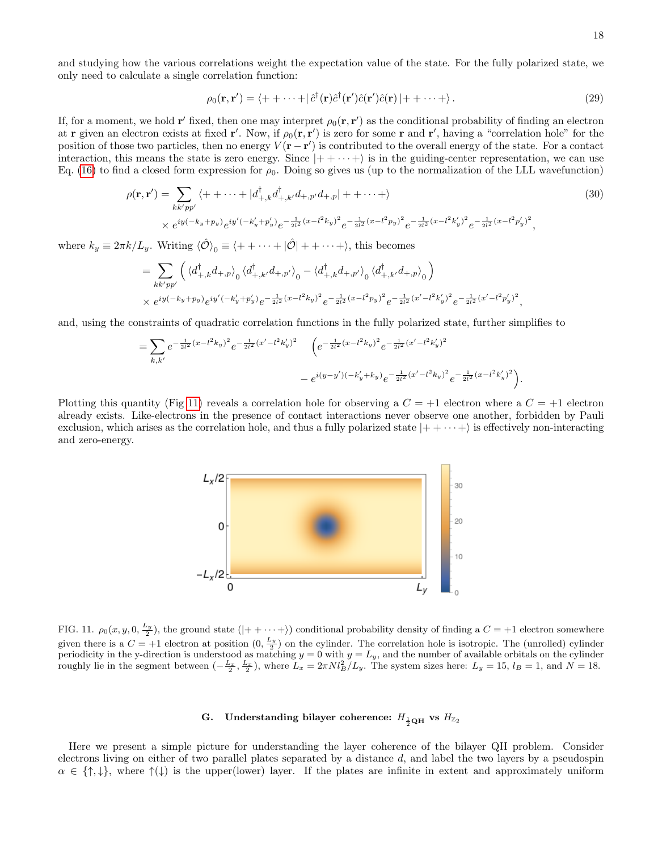and studying how the various correlations weight the expectation value of the state. For the fully polarized state, we only need to calculate a single correlation function:

$$
\rho_0(\mathbf{r}, \mathbf{r}') = \langle + + \cdots + | \hat{c}^\dagger(\mathbf{r}) \hat{c}^\dagger(\mathbf{r}') \hat{c}(\mathbf{r}') \hat{c}(\mathbf{r}) | + + \cdots + \rangle. \tag{29}
$$

If, for a moment, we hold r' fixed, then one may interpret  $\rho_0(\mathbf{r}, \mathbf{r}')$  as the conditional probability of finding an electron at **r** given an electron exists at fixed **r'**. Now, if  $\rho_0(\mathbf{r}, \mathbf{r}')$  is zero for some **r** and **r'**, having a "correlation hole" for the position of those two particles, then no energy  $V(\mathbf{r}-\mathbf{r}')$  is contributed to the overall energy of the state. For a contact interaction, this means the state is zero energy. Since  $|++\cdots+\rangle$  is in the guiding-center representation, we can use Eq. [\(16\)](#page-11-3) to find a closed form expression for  $\rho_0$ . Doing so gives us (up to the normalization of the LLL wavefunction)

$$
\rho(\mathbf{r}, \mathbf{r}') = \sum_{kk'pp'} \langle ++ \cdots + |d^{\dagger}_{+,k} d^{\dagger}_{+,k'} d_{+,p'} d_{+,p}| ++ \cdots + \rangle
$$
\n
$$
\times e^{iy(-k_y + p_y)} e^{iy'} (-k'_y + p'_y)} e^{-\frac{1}{2l^2} (x - l^2 k_y)^2} e^{-\frac{1}{2l^2} (x - l^2 p'_y)^2} e^{-\frac{1}{2l^2} (x - l^2 k'_y)^2} e^{-\frac{1}{2l^2} (x - l^2 p'_y)^2},
$$
\n(30)

where  $k_y \equiv 2\pi k / L_y$ . Writing  $\langle \hat{\mathcal{O}} \rangle_0 \equiv \langle + + \cdots + | \hat{\mathcal{O}} | + + \cdots + \rangle$ , this becomes

$$
= \sum_{kk'pp'} \left( \langle d_{+,k}^{\dagger} d_{+,p} \rangle_0 \langle d_{+,k'}^{\dagger} d_{+,p'} \rangle_0 - \langle d_{+,k}^{\dagger} d_{+,p'} \rangle_0 \langle d_{+,k'}^{\dagger} d_{+,p} \rangle_0 \right)
$$
  
 
$$
\times e^{iy(-k_y + p_y)} e^{iy'(-k'_y + p'_y)} e^{-\frac{1}{2l^2}(x - l^2 k_y)^2} e^{-\frac{1}{2l^2}(x - l^2 p_y)^2} e^{-\frac{1}{2l^2}(x' - l^2 k'_y)^2} e^{-\frac{1}{2l^2}(x' - l^2 p'_y)^2},
$$

and, using the constraints of quadratic correlation functions in the fully polarized state, further simplifies to

$$
= \sum_{k,k'} e^{-\frac{1}{2l^2}(x-l^2k_y)^2} e^{-\frac{1}{2l^2}(x'-l^2k'_y)^2} \left(e^{-\frac{1}{2l^2}(x-l^2k_y)^2} e^{-\frac{1}{2l^2}(x'-l^2k'_y)^2}\right)
$$

$$
-e^{i(y-y')(-k'_y+k_y)} e^{-\frac{1}{2l^2}(x'-l^2k_y)^2} e^{-\frac{1}{2l^2}(x-l^2k'_y)^2}.
$$

Plotting this quantity (Fig [11\)](#page-17-0) reveals a correlation hole for observing a  $C = +1$  electron where a  $C = +1$  electron already exists. Like-electrons in the presence of contact interactions never observe one another, forbidden by Pauli exclusion, which arises as the correlation hole, and thus a fully polarized state  $|++\cdots+ \rangle$  is effectively non-interacting and zero-energy.



<span id="page-17-0"></span>FIG. 11.  $\rho_0(x, y, 0, \frac{L_y}{2})$ , the ground state  $(|+ + \cdots + \rangle)$  conditional probability density of finding a  $C = +1$  electron somewhere given there is a  $C = +1$  electron at position  $(0, \frac{L_y}{2})$  on the cylinder. The correlation hole is isotropic. The (unrolled) cylinder periodicity in the y-direction is understood as matching  $y = 0$  with  $y = L_y$ , and the number of available orbitals on the cylinder roughly lie in the segment between  $\left(-\frac{L_x}{2}, \frac{L_x}{2}\right)$ , where  $L_x = 2\pi N l_B^2/L_y$ . The system sizes here:  $L_y = 15$ ,  $l_B = 1$ , and  $N = 18$ .

# G. Understanding bilayer coherence:  $H_{\frac{1}{2} \textbf{Q} \textbf{H}}$  vs  $H_{\mathbb{Z}_2}$

Here we present a simple picture for understanding the layer coherence of the bilayer QH problem. Consider electrons living on either of two parallel plates separated by a distance  $d$ , and label the two layers by a pseudospin  $\alpha \in \{\uparrow,\downarrow\},\$  where  $\uparrow(\downarrow)$  is the upper(lower) layer. If the plates are infinite in extent and approximately uniform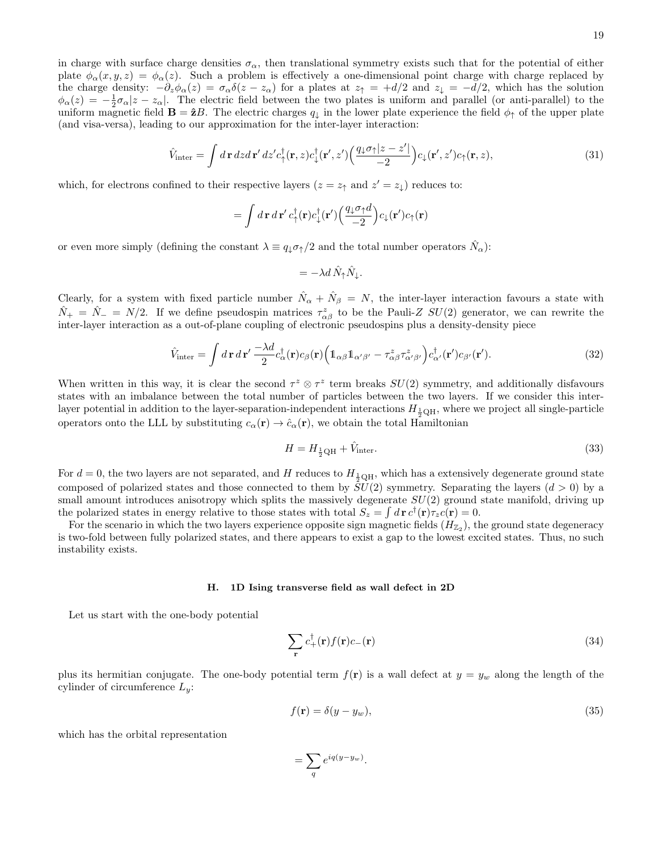in charge with surface charge densities  $\sigma_{\alpha}$ , then translational symmetry exists such that for the potential of either plate  $\phi_{\alpha}(x, y, z) = \phi_{\alpha}(z)$ . Such a problem is effectively a one-dimensional point charge with charge replaced by the charge density:  $-\partial_z\phi_\alpha(z) = \sigma_\alpha\delta(z-z_\alpha)$  for a plates at  $z_\uparrow = +d/2$  and  $z_\downarrow = -d/2$ , which has the solution  $\phi_{\alpha}(z) = -\frac{1}{2}\sigma_{\alpha}|z - z_{\alpha}|$ . The electric field between the two plates is uniform and parallel (or anti-parallel) to the uniform magnetic field  $\mathbf{B} = \hat{\mathbf{z}}B$ . The electric charges  $q_{\perp}$  in the lower plate experience the field  $\phi_{\uparrow}$  of the upper plate (and visa-versa), leading to our approximation for the inter-layer interaction:

$$
\hat{V}_{\text{inter}} = \int d\mathbf{r} \, dz \, d\mathbf{r}' \, dz' c_{\uparrow}^{\dagger}(\mathbf{r}, z) c_{\downarrow}^{\dagger}(\mathbf{r}', z') \Big( \frac{q_{\downarrow} \sigma_{\uparrow} |z - z'|}{-2} \Big) c_{\downarrow}(\mathbf{r}', z') c_{\uparrow}(\mathbf{r}, z),\tag{31}
$$

which, for electrons confined to their respective layers  $(z = z<sub>†</sub>$  and  $z' = z<sub>\downarrow</sub>$ ) reduces to:

$$
= \int d\mathbf{r} d\mathbf{r}' c_{\uparrow}^{\dagger}(\mathbf{r}) c_{\downarrow}^{\dagger}(\mathbf{r}') \left( \frac{q_{\downarrow} \sigma_{\uparrow} d}{-2} \right) c_{\downarrow}(\mathbf{r}') c_{\uparrow}(\mathbf{r})
$$

or even more simply (defining the constant  $\lambda \equiv q_{\downarrow} \sigma_{\uparrow}/2$  and the total number operators  $\hat{N}_{\alpha}$ ):

$$
= -\lambda d \hat{N}_{\uparrow} \hat{N}_{\downarrow}.
$$

Clearly, for a system with fixed particle number  $\hat{N}_{\alpha} + \hat{N}_{\beta} = N$ , the inter-layer interaction favours a state with  $\hat{N}_+ = \hat{N}_- = N/2$ . If we define pseudospin matrices  $\tau_{\alpha\beta}^z$  to be the Pauli-Z  $SU(2)$  generator, we can rewrite the inter-layer interaction as a out-of-plane coupling of electronic pseudospins plus a density-density piece

$$
\hat{V}_{\text{inter}} = \int d\mathbf{r} \, d\mathbf{r}' \, \frac{-\lambda d}{2} c_{\alpha}^{\dagger}(\mathbf{r}) c_{\beta}(\mathbf{r}) \Big( \mathbb{1}_{\alpha\beta} \mathbb{1}_{\alpha'\beta'} - \tau_{\alpha\beta}^{z} \tau_{\alpha'\beta'}^{z} \Big) c_{\alpha'}^{\dagger}(\mathbf{r}') c_{\beta'}(\mathbf{r}'). \tag{32}
$$

When written in this way, it is clear the second  $\tau^z \otimes \tau^z$  term breaks  $SU(2)$  symmetry, and additionally disfavours states with an imbalance between the total number of particles between the two layers. If we consider this interlayer potential in addition to the layer-separation-independent interactions  $H_{\frac{1}{2}QH}$ , where we project all single-particle operators onto the LLL by substituting  $c_{\alpha}(\mathbf{r}) \to \hat{c}_{\alpha}(\mathbf{r})$ , we obtain the total Hamiltonian

$$
H = H_{\frac{1}{2}\text{QH}} + \hat{V}_{\text{inter}}.\tag{33}
$$

For  $d = 0$ , the two layers are not separated, and H reduces to  $H_{\frac{1}{2}QH}$ , which has a extensively degenerate ground state composed of polarized states and those connected to them by  $SU(2)$  symmetry. Separating the layers  $(d > 0)$  by a small amount introduces anisotropy which splits the massively degenerate  $SU(2)$  ground state manifold, driving up the polarized states in energy relative to those states with total  $S_z = \int d\mathbf{r} c^{\dagger}(\mathbf{r}) \tau_z c(\mathbf{r}) = 0$ .

For the scenario in which the two layers experience opposite sign magnetic fields  $(H_{\mathbb{Z}_2})$ , the ground state degeneracy is two-fold between fully polarized states, and there appears to exist a gap to the lowest excited states. Thus, no such instability exists.

### H. 1D Ising transverse field as wall defect in 2D

Let us start with the one-body potential

<span id="page-18-0"></span>
$$
\sum_{\mathbf{r}} c_{+}^{\dagger}(\mathbf{r}) f(\mathbf{r}) c_{-}(\mathbf{r}) \tag{34}
$$

plus its hermitian conjugate. The one-body potential term  $f(\mathbf{r})$  is a wall defect at  $y = y_w$  along the length of the cylinder of circumference  $L_y$ :

$$
f(\mathbf{r}) = \delta(y - y_w),\tag{35}
$$

which has the orbital representation

$$
=\sum_q e^{iq(y-y_w)}.
$$